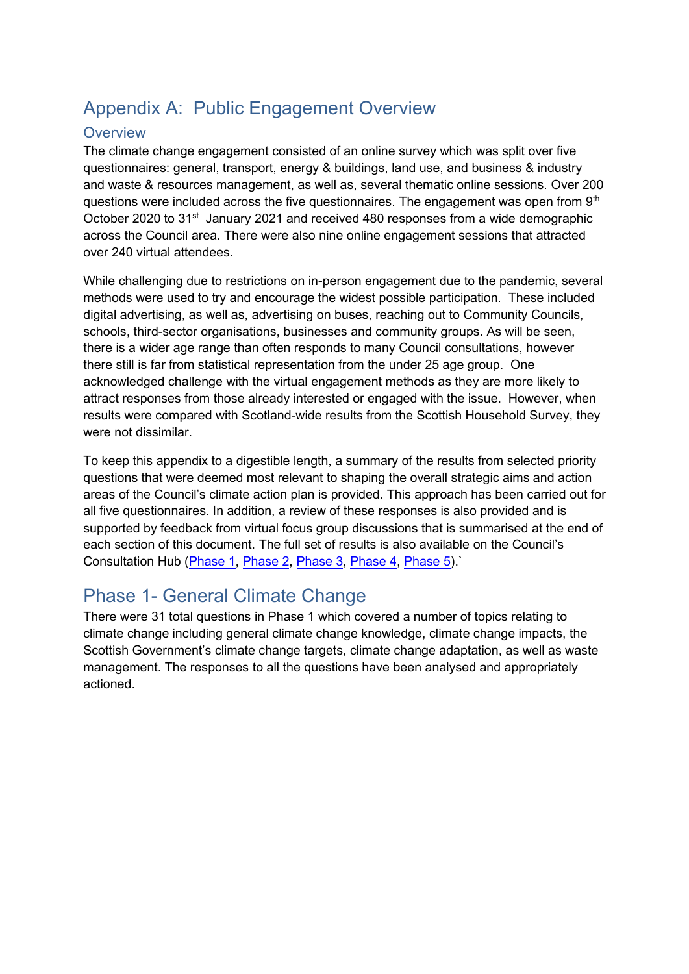# Appendix A: Public Engagement Overview

## **Overview**

The climate change engagement consisted of an online survey which was split over five questionnaires: general, transport, energy & buildings, land use, and business & industry and waste & resources management, as well as, several thematic online sessions. Over 200 questions were included across the five questionnaires. The engagement was open from  $9<sup>th</sup>$ October 2020 to 31<sup>st</sup> January 2021 and received 480 responses from a wide demographic across the Council area. There were also nine online engagement sessions that attracted over 240 virtual attendees.

While challenging due to restrictions on in-person engagement due to the pandemic, several methods were used to try and encourage the widest possible participation. These included digital advertising, as well as, advertising on buses, reaching out to Community Councils, schools, third-sector organisations, businesses and community groups. As will be seen, there is a wider age range than often responds to many Council consultations, however there still is far from statistical representation from the under 25 age group. One acknowledged challenge with the virtual engagement methods as they are more likely to attract responses from those already interested or engaged with the issue. However, when results were compared with Scotland-wide results from the Scottish Household Survey, they were not dissimilar.

To keep this appendix to a digestible length, a summary of the results from selected priority questions that were deemed most relevant to shaping the overall strategic aims and action areas of the Council's climate action plan is provided. This approach has been carried out for all five questionnaires. In addition, a review of these responses is also provided and is supported by feedback from virtual focus group discussions that is summarised at the end of each section of this document. The full set of results is also available on the Council's Consultation Hub [\(Phase 1,](https://consult.pkc.gov.uk/housing-environment/climate-emergency_phase1/) [Phase 2,](https://consult.pkc.gov.uk/housing-environment/copy-of-climate-emergency_phase2/) [Phase 3,](https://consult.pkc.gov.uk/housing-environment/copy-of-copy-of-climate-emergency_phase3/) [Phase 4,](https://consult.pkc.gov.uk/housing-environment/climatechange_phase4/) [Phase 5\)](https://consult.pkc.gov.uk/housing-environment/climatechange_phase5/).`

# Phase 1- General Climate Change

There were 31 total questions in Phase 1 which covered a number of topics relating to climate change including general climate change knowledge, climate change impacts, the Scottish Government's climate change targets, climate change adaptation, as well as waste management. The responses to all the questions have been analysed and appropriately actioned.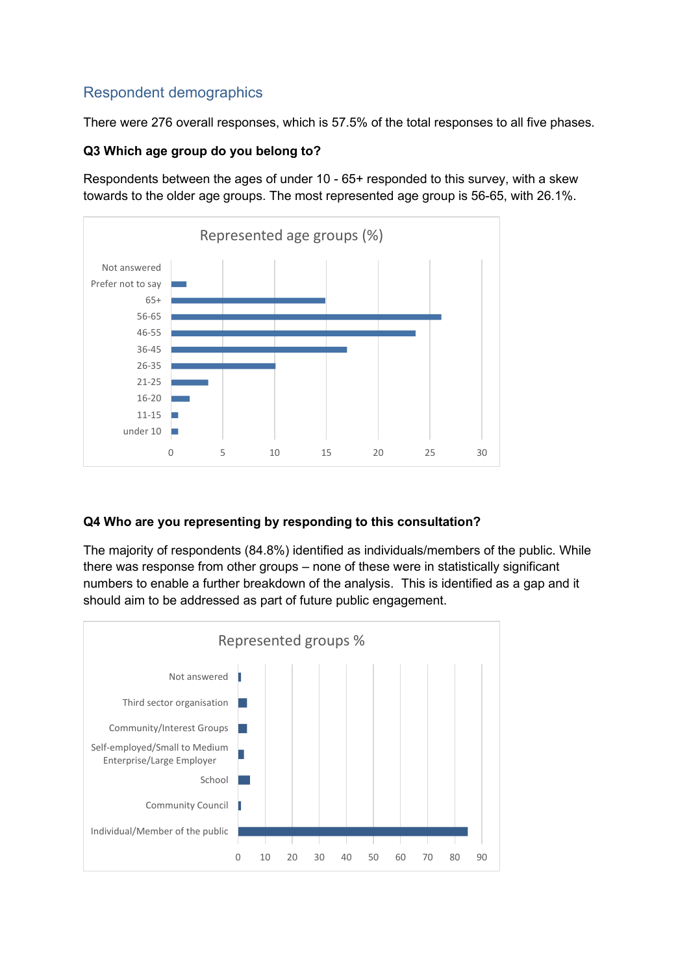# Respondent demographics

There were 276 overall responses, which is 57.5% of the total responses to all five phases.

#### **Q3 Which age group do you belong to?**

Respondents between the ages of under 10 - 65+ responded to this survey, with a skew towards to the older age groups. The most represented age group is 56-65, with 26.1%.



## **Q4 Who are you representing by responding to this consultation?**

The majority of respondents (84.8%) identified as individuals/members of the public. While there was response from other groups – none of these were in statistically significant numbers to enable a further breakdown of the analysis. This is identified as a gap and it should aim to be addressed as part of future public engagement.

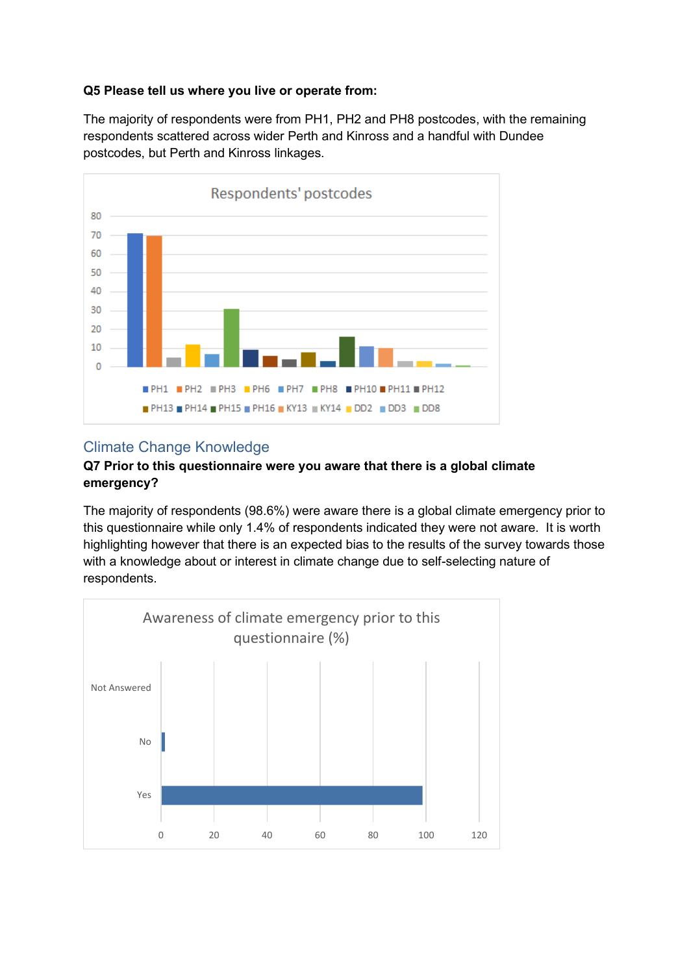#### **Q5 Please tell us where you live or operate from:**

The majority of respondents were from PH1, PH2 and PH8 postcodes, with the remaining respondents scattered across wider Perth and Kinross and a handful with Dundee postcodes, but Perth and Kinross linkages.



## Climate Change Knowledge

#### **Q7 Prior to this questionnaire were you aware that there is a global climate emergency?**

The majority of respondents (98.6%) were aware there is a global climate emergency prior to this questionnaire while only 1.4% of respondents indicated they were not aware. It is worth highlighting however that there is an expected bias to the results of the survey towards those with a knowledge about or interest in climate change due to self-selecting nature of respondents.

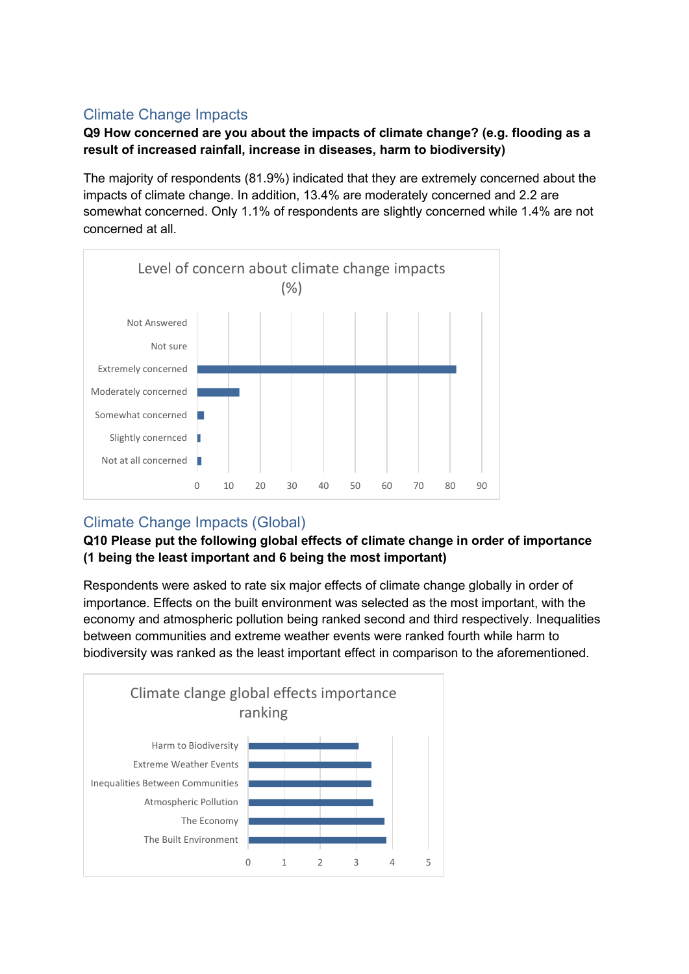# Climate Change Impacts

## **Q9 How concerned are you about the impacts of climate change? (e.g. flooding as a result of increased rainfall, increase in diseases, harm to biodiversity)**

The majority of respondents (81.9%) indicated that they are extremely concerned about the impacts of climate change. In addition, 13.4% are moderately concerned and 2.2 are somewhat concerned. Only 1.1% of respondents are slightly concerned while 1.4% are not concerned at all.



# Climate Change Impacts (Global)

## **Q10 Please put the following global effects of climate change in order of importance (1 being the least important and 6 being the most important)**

Respondents were asked to rate six major effects of climate change globally in order of importance. Effects on the built environment was selected as the most important, with the economy and atmospheric pollution being ranked second and third respectively. Inequalities between communities and extreme weather events were ranked fourth while harm to biodiversity was ranked as the least important effect in comparison to the aforementioned.

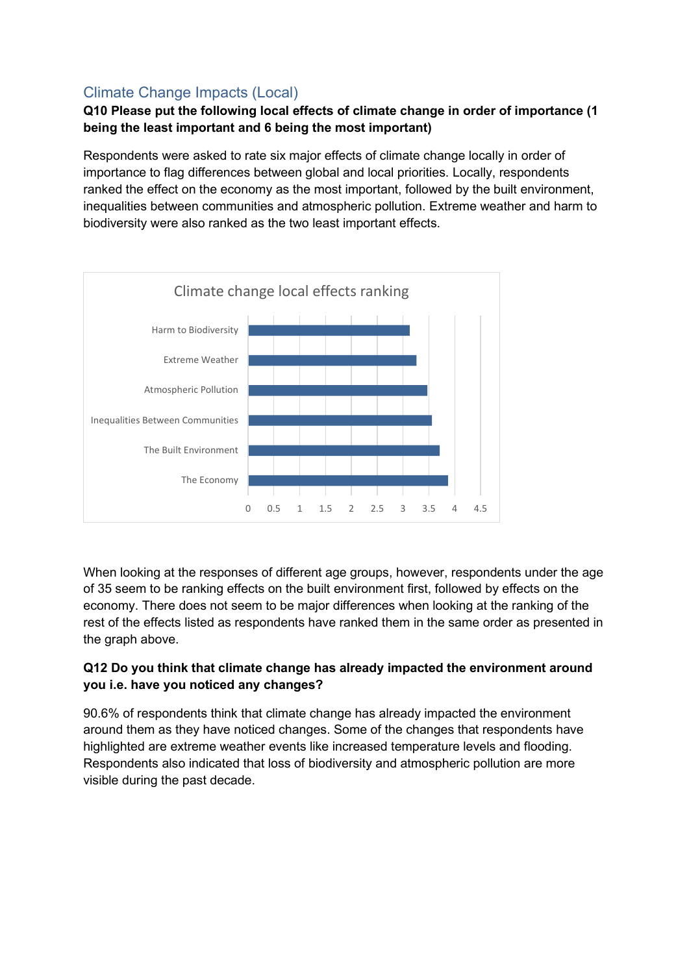# Climate Change Impacts (Local)

## **Q10 Please put the following local effects of climate change in order of importance (1 being the least important and 6 being the most important)**

Respondents were asked to rate six major effects of climate change locally in order of importance to flag differences between global and local priorities. Locally, respondents ranked the effect on the economy as the most important, followed by the built environment, inequalities between communities and atmospheric pollution. Extreme weather and harm to biodiversity were also ranked as the two least important effects.



When looking at the responses of different age groups, however, respondents under the age of 35 seem to be ranking effects on the built environment first, followed by effects on the economy. There does not seem to be major differences when looking at the ranking of the rest of the effects listed as respondents have ranked them in the same order as presented in the graph above.

## **Q12 Do you think that climate change has already impacted the environment around you i.e. have you noticed any changes?**

90.6% of respondents think that climate change has already impacted the environment around them as they have noticed changes. Some of the changes that respondents have highlighted are extreme weather events like increased temperature levels and flooding. Respondents also indicated that loss of biodiversity and atmospheric pollution are more visible during the past decade.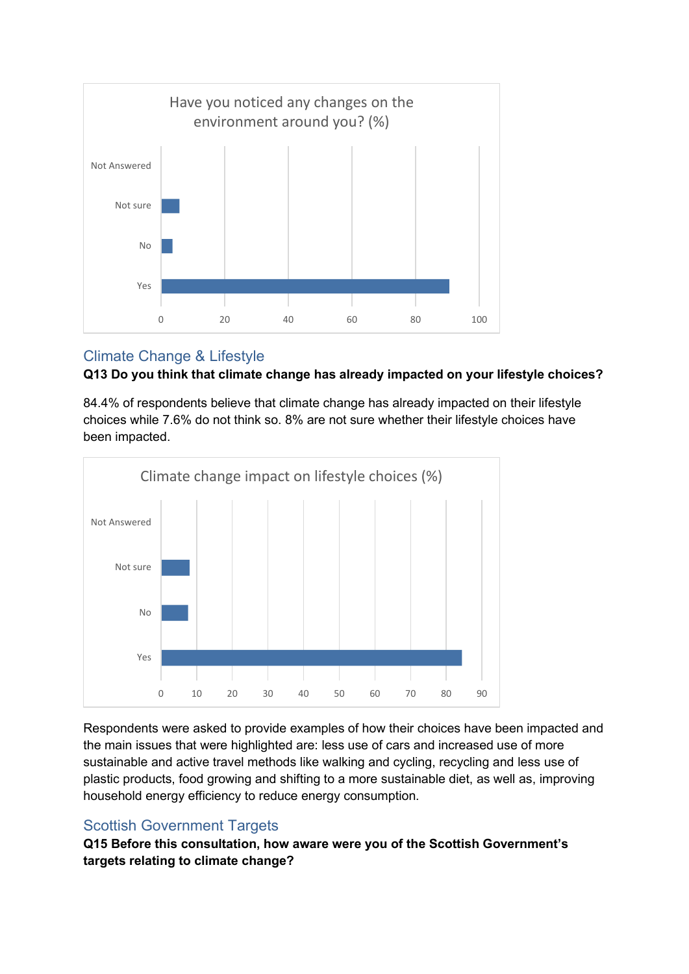

# Climate Change & Lifestyle



84.4% of respondents believe that climate change has already impacted on their lifestyle choices while 7.6% do not think so. 8% are not sure whether their lifestyle choices have been impacted.



Respondents were asked to provide examples of how their choices have been impacted and the main issues that were highlighted are: less use of cars and increased use of more sustainable and active travel methods like walking and cycling, recycling and less use of plastic products, food growing and shifting to a more sustainable diet, as well as, improving household energy efficiency to reduce energy consumption.

# Scottish Government Targets

**Q15 Before this consultation, how aware were you of the Scottish Government's targets relating to climate change?**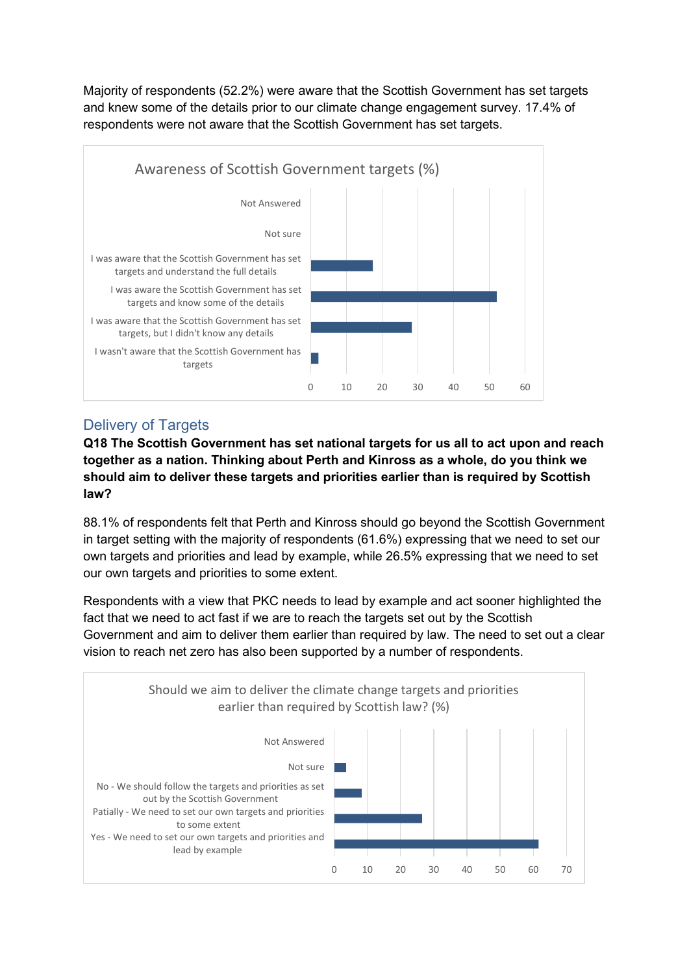Majority of respondents (52.2%) were aware that the Scottish Government has set targets and knew some of the details prior to our climate change engagement survey. 17.4% of respondents were not aware that the Scottish Government has set targets.



# Delivery of Targets

**Q18 The Scottish Government has set national targets for us all to act upon and reach together as a nation. Thinking about Perth and Kinross as a whole, do you think we should aim to deliver these targets and priorities earlier than is required by Scottish law?** 

88.1% of respondents felt that Perth and Kinross should go beyond the Scottish Government in target setting with the majority of respondents (61.6%) expressing that we need to set our own targets and priorities and lead by example, while 26.5% expressing that we need to set our own targets and priorities to some extent.

Respondents with a view that PKC needs to lead by example and act sooner highlighted the fact that we need to act fast if we are to reach the targets set out by the Scottish Government and aim to deliver them earlier than required by law. The need to set out a clear vision to reach net zero has also been supported by a number of respondents.

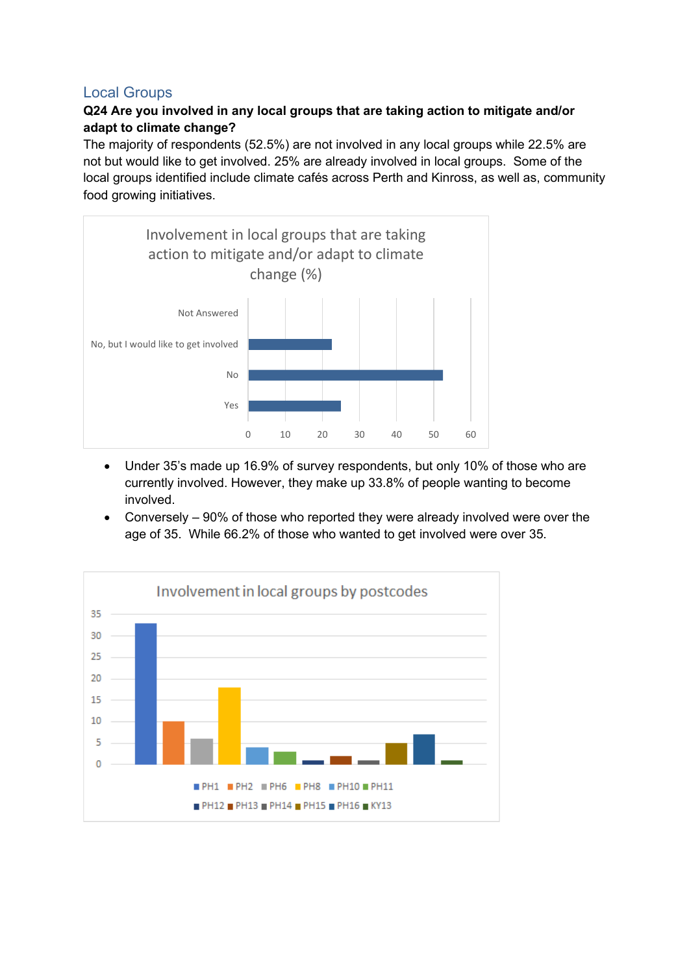## Local Groups

## **Q24 Are you involved in any local groups that are taking action to mitigate and/or adapt to climate change?**

The majority of respondents (52.5%) are not involved in any local groups while 22.5% are not but would like to get involved. 25% are already involved in local groups. Some of the local groups identified include climate cafés across Perth and Kinross, as well as, community food growing initiatives.



- Under 35's made up 16.9% of survey respondents, but only 10% of those who are currently involved. However, they make up 33.8% of people wanting to become involved.
- Conversely 90% of those who reported they were already involved were over the age of 35. While 66.2% of those who wanted to get involved were over 35.

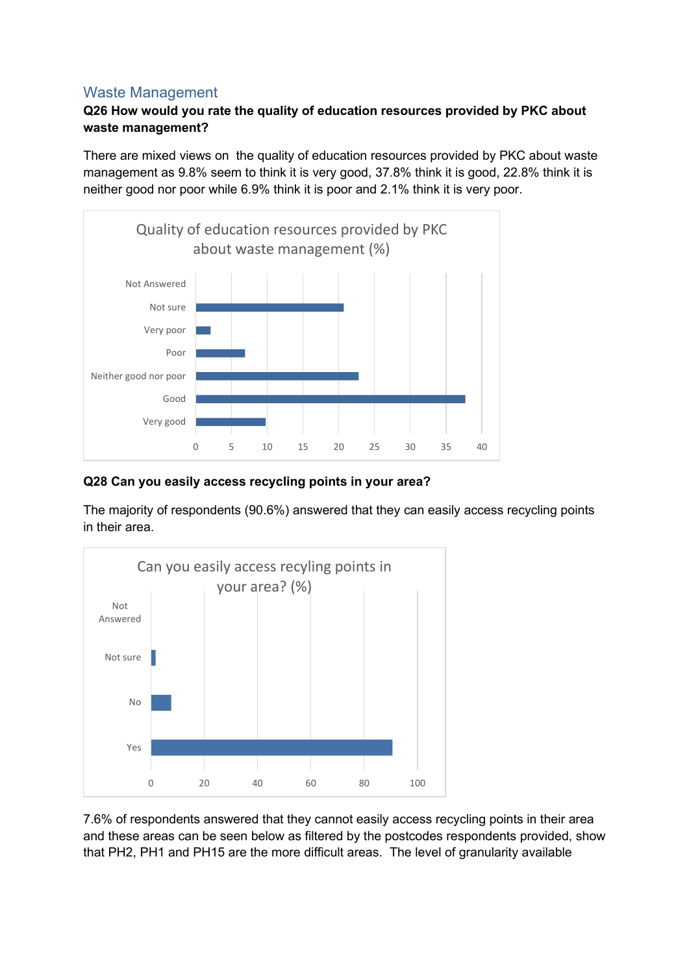## Waste Management

## **Q26 How would you rate the quality of education resources provided by PKC about waste management?**

There are mixed views on the quality of education resources provided by PKC about waste management as 9.8% seem to think it is very good, 37.8% think it is good, 22.8% think it is neither good nor poor while 6.9% think it is poor and 2.1% think it is very poor.



#### **Q28 Can you easily access recycling points in your area?**

The majority of respondents (90.6%) answered that they can easily access recycling points in their area.



7.6% of respondents answered that they cannot easily access recycling points in their area and these areas can be seen below as filtered by the postcodes respondents provided, show that PH2, PH1 and PH15 are the more difficult areas. The level of granularity available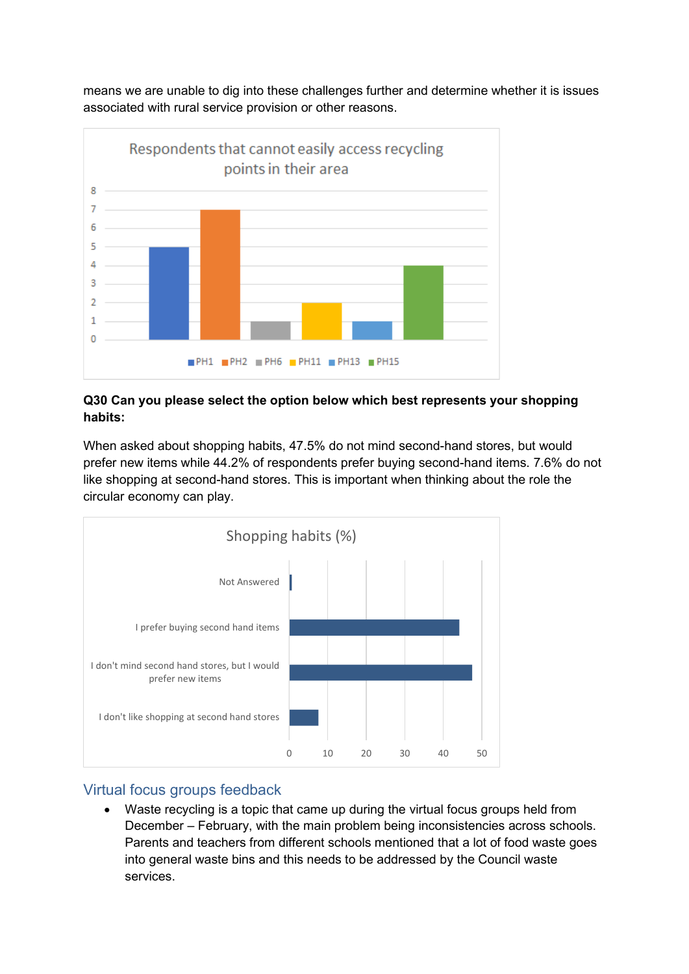means we are unable to dig into these challenges further and determine whether it is issues associated with rural service provision or other reasons.



#### **Q30 Can you please select the option below which best represents your shopping habits:**

When asked about shopping habits, 47.5% do not mind second-hand stores, but would prefer new items while 44.2% of respondents prefer buying second-hand items. 7.6% do not like shopping at second-hand stores. This is important when thinking about the role the circular economy can play.



## Virtual focus groups feedback

• Waste recycling is a topic that came up during the virtual focus groups held from December – February, with the main problem being inconsistencies across schools. Parents and teachers from different schools mentioned that a lot of food waste goes into general waste bins and this needs to be addressed by the Council waste services.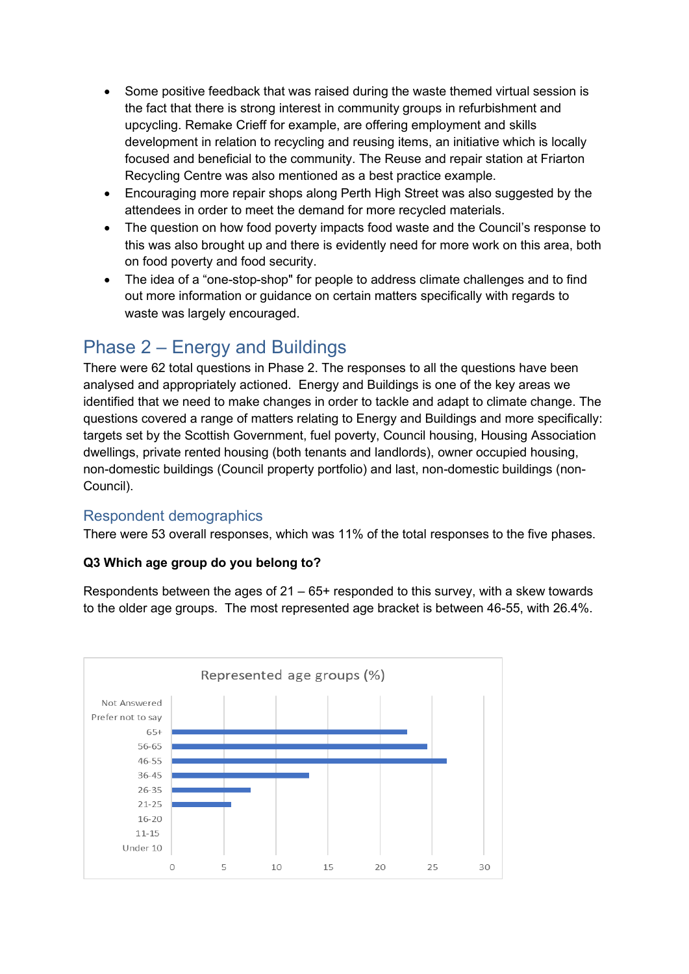- Some positive feedback that was raised during the waste themed virtual session is the fact that there is strong interest in community groups in refurbishment and upcycling. Remake Crieff for example, are offering employment and skills development in relation to recycling and reusing items, an initiative which is locally focused and beneficial to the community. The Reuse and repair station at Friarton Recycling Centre was also mentioned as a best practice example.
- Encouraging more repair shops along Perth High Street was also suggested by the attendees in order to meet the demand for more recycled materials.
- The question on how food poverty impacts food waste and the Council's response to this was also brought up and there is evidently need for more work on this area, both on food poverty and food security.
- The idea of a "one-stop-shop" for people to address climate challenges and to find out more information or guidance on certain matters specifically with regards to waste was largely encouraged.

# Phase 2 – Energy and Buildings

There were 62 total questions in Phase 2. The responses to all the questions have been analysed and appropriately actioned. Energy and Buildings is one of the key areas we identified that we need to make changes in order to tackle and adapt to climate change. The questions covered a range of matters relating to Energy and Buildings and more specifically: targets set by the Scottish Government, fuel poverty, Council housing, Housing Association dwellings, private rented housing (both tenants and landlords), owner occupied housing, non-domestic buildings (Council property portfolio) and last, non-domestic buildings (non-Council).

## Respondent demographics

There were 53 overall responses, which was 11% of the total responses to the five phases.

## **Q3 Which age group do you belong to?**

Respondents between the ages of  $21 - 65+$  responded to this survey, with a skew towards to the older age groups. The most represented age bracket is between 46-55, with 26.4%.

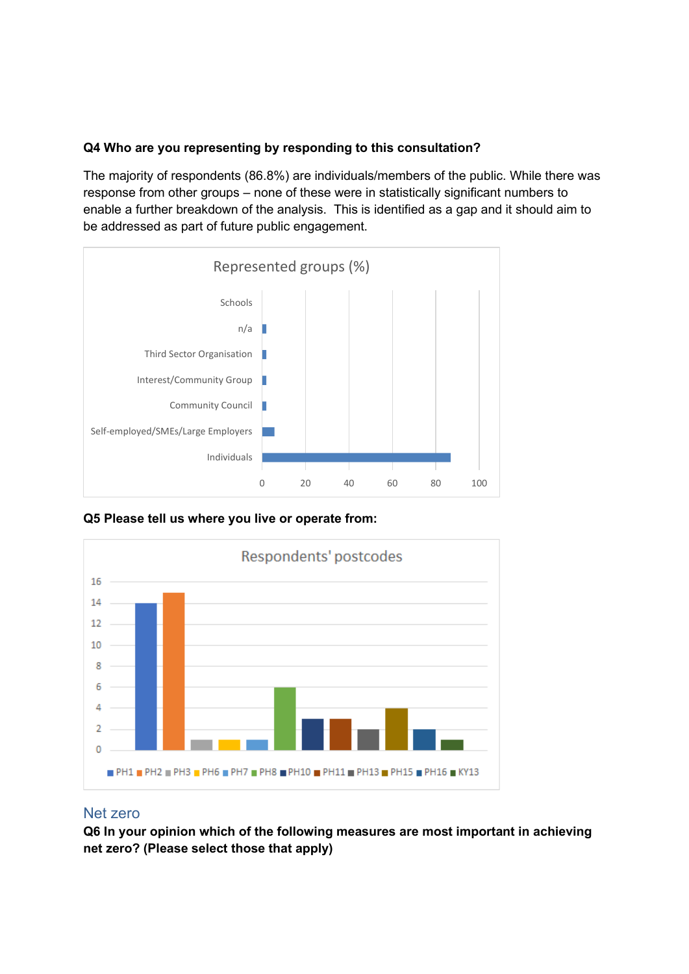#### **Q4 Who are you representing by responding to this consultation?**

The majority of respondents (86.8%) are individuals/members of the public. While there was response from other groups – none of these were in statistically significant numbers to enable a further breakdown of the analysis. This is identified as a gap and it should aim to be addressed as part of future public engagement.



**Q5 Please tell us where you live or operate from:** 



#### Net zero

**Q6 In your opinion which of the following measures are most important in achieving net zero? (Please select those that apply)**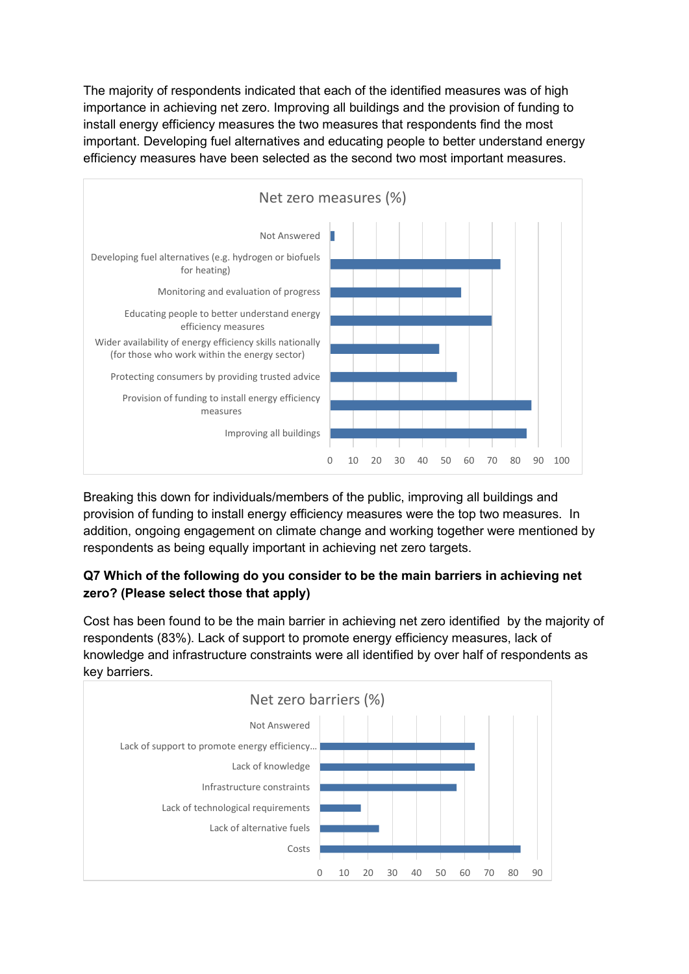The majority of respondents indicated that each of the identified measures was of high importance in achieving net zero. Improving all buildings and the provision of funding to install energy efficiency measures the two measures that respondents find the most important. Developing fuel alternatives and educating people to better understand energy efficiency measures have been selected as the second two most important measures.



Breaking this down for individuals/members of the public, improving all buildings and provision of funding to install energy efficiency measures were the top two measures. In addition, ongoing engagement on climate change and working together were mentioned by respondents as being equally important in achieving net zero targets.

## **Q7 Which of the following do you consider to be the main barriers in achieving net zero? (Please select those that apply)**

Cost has been found to be the main barrier in achieving net zero identified by the majority of respondents (83%). Lack of support to promote energy efficiency measures, lack of knowledge and infrastructure constraints were all identified by over half of respondents as key barriers.

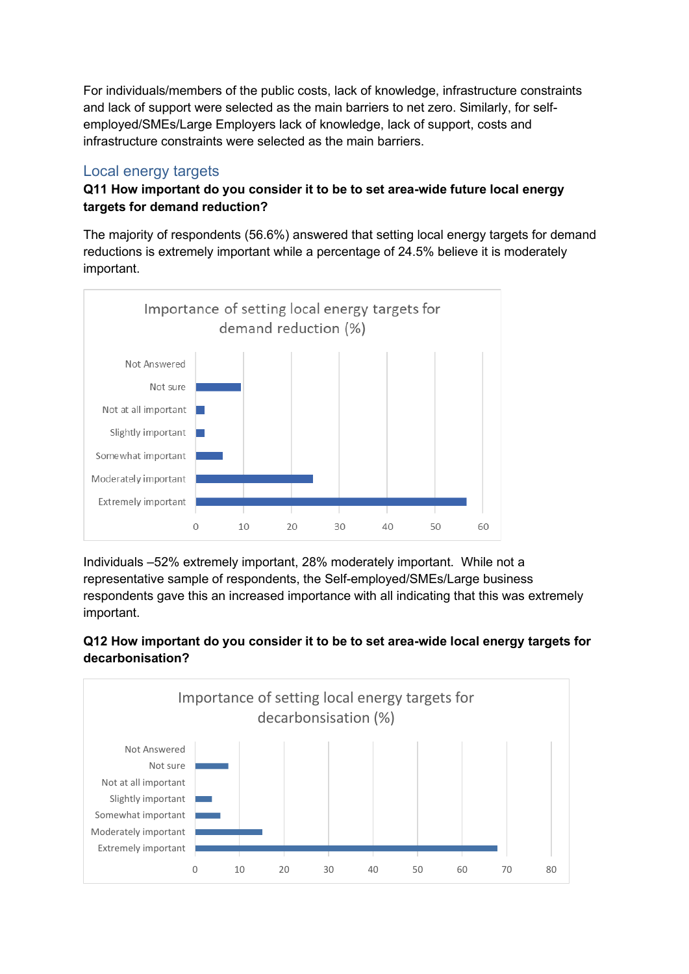For individuals/members of the public costs, lack of knowledge, infrastructure constraints and lack of support were selected as the main barriers to net zero. Similarly, for selfemployed/SMEs/Large Employers lack of knowledge, lack of support, costs and infrastructure constraints were selected as the main barriers.

## Local energy targets

## **Q11 How important do you consider it to be to set area-wide future local energy targets for demand reduction?**

The majority of respondents (56.6%) answered that setting local energy targets for demand reductions is extremely important while a percentage of 24.5% believe it is moderately important.



Individuals –52% extremely important, 28% moderately important. While not a representative sample of respondents, the Self-employed/SMEs/Large business respondents gave this an increased importance with all indicating that this was extremely important.

## **Q12 How important do you consider it to be to set area-wide local energy targets for decarbonisation?**

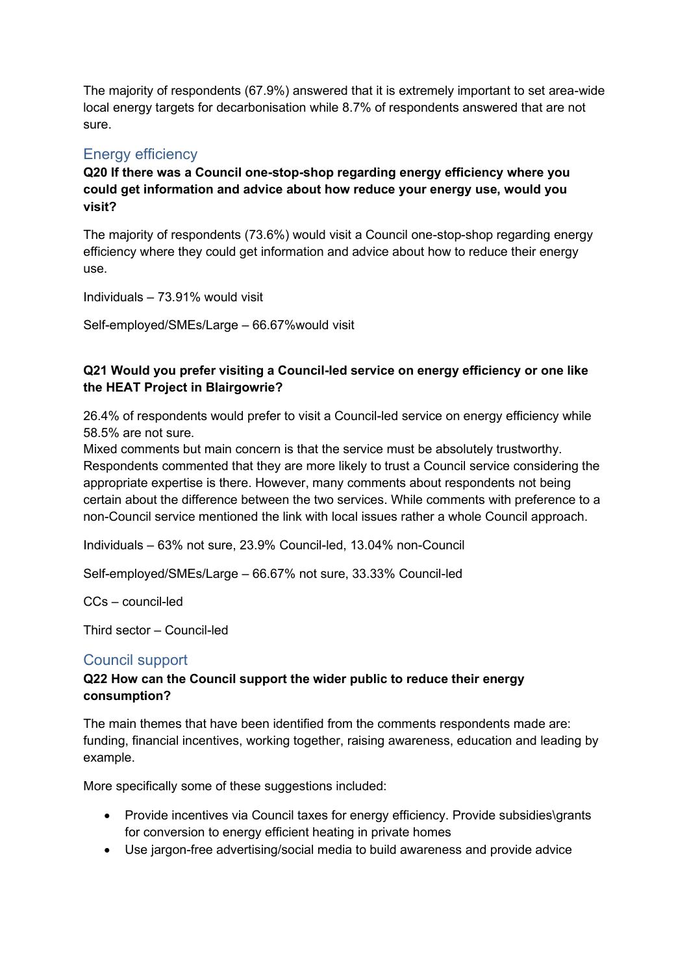The majority of respondents (67.9%) answered that it is extremely important to set area-wide local energy targets for decarbonisation while 8.7% of respondents answered that are not sure.

## Energy efficiency

**Q20 If there was a Council one-stop-shop regarding energy efficiency where you could get information and advice about how reduce your energy use, would you visit?** 

The majority of respondents (73.6%) would visit a Council one-stop-shop regarding energy efficiency where they could get information and advice about how to reduce their energy use.

Individuals – 73.91% would visit

Self-employed/SMEs/Large – 66.67%would visit

## **Q21 Would you prefer visiting a Council-led service on energy efficiency or one like the HEAT Project in Blairgowrie?**

26.4% of respondents would prefer to visit a Council-led service on energy efficiency while 58.5% are not sure.

Mixed comments but main concern is that the service must be absolutely trustworthy. Respondents commented that they are more likely to trust a Council service considering the appropriate expertise is there. However, many comments about respondents not being certain about the difference between the two services. While comments with preference to a non-Council service mentioned the link with local issues rather a whole Council approach.

Individuals – 63% not sure, 23.9% Council-led, 13.04% non-Council

Self-employed/SMEs/Large – 66.67% not sure, 33.33% Council-led

CCs – council-led

Third sector – Council-led

## Council support

## **Q22 How can the Council support the wider public to reduce their energy consumption?**

The main themes that have been identified from the comments respondents made are: funding, financial incentives, working together, raising awareness, education and leading by example.

More specifically some of these suggestions included:

- Provide incentives via Council taxes for energy efficiency. Provide subsidies\grants for conversion to energy efficient heating in private homes
- Use jargon-free advertising/social media to build awareness and provide advice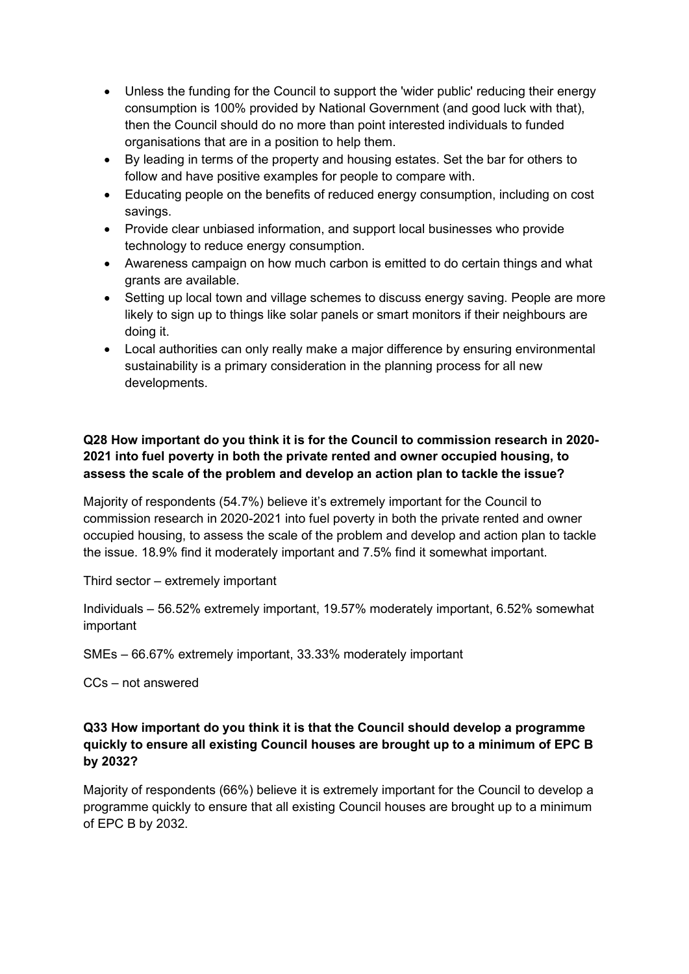- Unless the funding for the Council to support the 'wider public' reducing their energy consumption is 100% provided by National Government (and good luck with that), then the Council should do no more than point interested individuals to funded organisations that are in a position to help them.
- By leading in terms of the property and housing estates. Set the bar for others to follow and have positive examples for people to compare with.
- Educating people on the benefits of reduced energy consumption, including on cost savings.
- Provide clear unbiased information, and support local businesses who provide technology to reduce energy consumption.
- Awareness campaign on how much carbon is emitted to do certain things and what grants are available.
- Setting up local town and village schemes to discuss energy saving. People are more likely to sign up to things like solar panels or smart monitors if their neighbours are doing it.
- Local authorities can only really make a major difference by ensuring environmental sustainability is a primary consideration in the planning process for all new developments.

## **Q28 How important do you think it is for the Council to commission research in 2020- 2021 into fuel poverty in both the private rented and owner occupied housing, to assess the scale of the problem and develop an action plan to tackle the issue?**

Majority of respondents (54.7%) believe it's extremely important for the Council to commission research in 2020-2021 into fuel poverty in both the private rented and owner occupied housing, to assess the scale of the problem and develop and action plan to tackle the issue. 18.9% find it moderately important and 7.5% find it somewhat important.

Third sector – extremely important

Individuals – 56.52% extremely important, 19.57% moderately important, 6.52% somewhat important

SMEs – 66.67% extremely important, 33.33% moderately important

CCs – not answered

## **Q33 How important do you think it is that the Council should develop a programme quickly to ensure all existing Council houses are brought up to a minimum of EPC B by 2032?**

Majority of respondents (66%) believe it is extremely important for the Council to develop a programme quickly to ensure that all existing Council houses are brought up to a minimum of EPC B by 2032.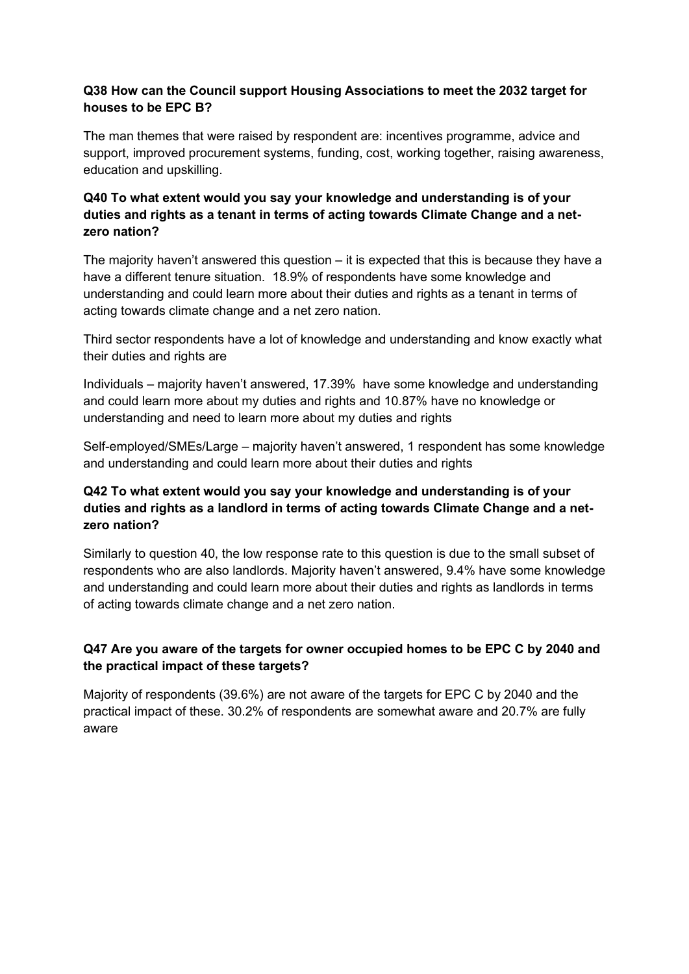#### **Q38 How can the Council support Housing Associations to meet the 2032 target for houses to be EPC B?**

The man themes that were raised by respondent are: incentives programme, advice and support, improved procurement systems, funding, cost, working together, raising awareness, education and upskilling.

## **Q40 To what extent would you say your knowledge and understanding is of your duties and rights as a tenant in terms of acting towards Climate Change and a netzero nation?**

The majority haven't answered this question – it is expected that this is because they have a have a different tenure situation. 18.9% of respondents have some knowledge and understanding and could learn more about their duties and rights as a tenant in terms of acting towards climate change and a net zero nation.

Third sector respondents have a lot of knowledge and understanding and know exactly what their duties and rights are

Individuals – majority haven't answered, 17.39% have some knowledge and understanding and could learn more about my duties and rights and 10.87% have no knowledge or understanding and need to learn more about my duties and rights

Self-employed/SMEs/Large – majority haven't answered, 1 respondent has some knowledge and understanding and could learn more about their duties and rights

## **Q42 To what extent would you say your knowledge and understanding is of your duties and rights as a landlord in terms of acting towards Climate Change and a netzero nation?**

Similarly to question 40, the low response rate to this question is due to the small subset of respondents who are also landlords. Majority haven't answered, 9.4% have some knowledge and understanding and could learn more about their duties and rights as landlords in terms of acting towards climate change and a net zero nation.

## **Q47 Are you aware of the targets for owner occupied homes to be EPC C by 2040 and the practical impact of these targets?**

Majority of respondents (39.6%) are not aware of the targets for EPC C by 2040 and the practical impact of these. 30.2% of respondents are somewhat aware and 20.7% are fully aware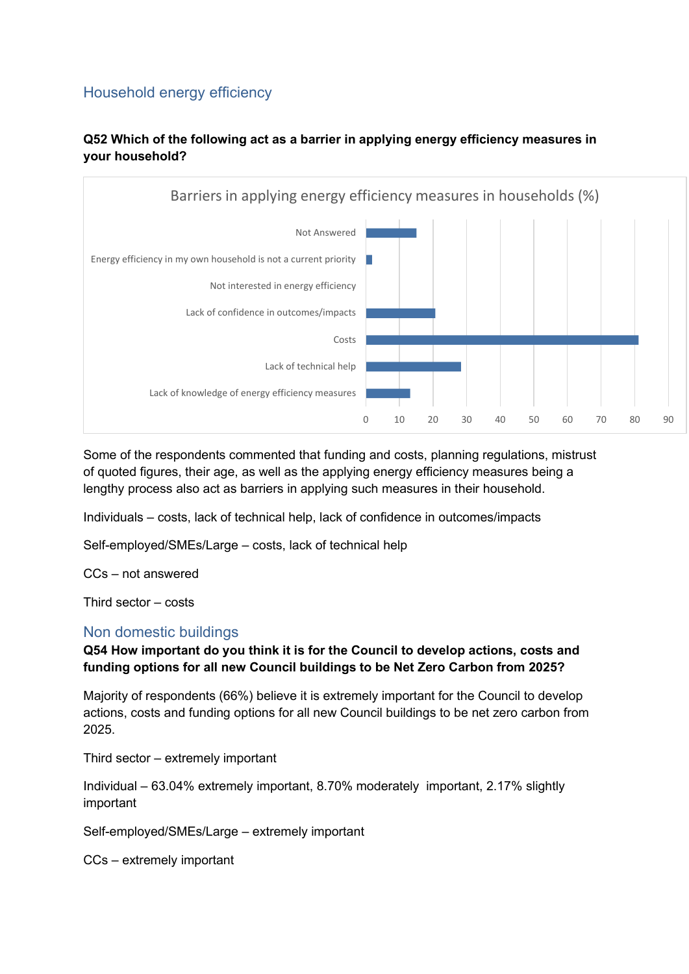# Household energy efficiency

## **Q52 Which of the following act as a barrier in applying energy efficiency measures in your household?**



Some of the respondents commented that funding and costs, planning regulations, mistrust of quoted figures, their age, as well as the applying energy efficiency measures being a lengthy process also act as barriers in applying such measures in their household.

Individuals – costs, lack of technical help, lack of confidence in outcomes/impacts

Self-employed/SMEs/Large – costs, lack of technical help

CCs – not answered

Third sector – costs

#### Non domestic buildings

## **Q54 How important do you think it is for the Council to develop actions, costs and funding options for all new Council buildings to be Net Zero Carbon from 2025?**

Majority of respondents (66%) believe it is extremely important for the Council to develop actions, costs and funding options for all new Council buildings to be net zero carbon from 2025.

Third sector – extremely important

Individual – 63.04% extremely important, 8.70% moderately important, 2.17% slightly important

Self-employed/SMEs/Large – extremely important

CCs – extremely important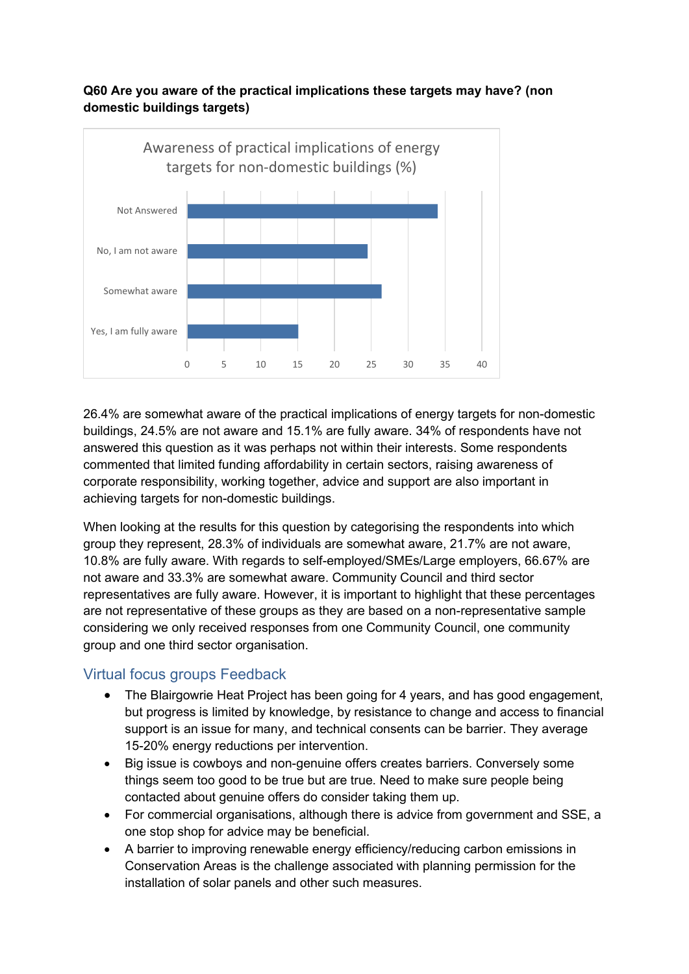#### **Q60 Are you aware of the practical implications these targets may have? (non domestic buildings targets)**



26.4% are somewhat aware of the practical implications of energy targets for non-domestic buildings, 24.5% are not aware and 15.1% are fully aware. 34% of respondents have not answered this question as it was perhaps not within their interests. Some respondents commented that limited funding affordability in certain sectors, raising awareness of corporate responsibility, working together, advice and support are also important in achieving targets for non-domestic buildings.

When looking at the results for this question by categorising the respondents into which group they represent, 28.3% of individuals are somewhat aware, 21.7% are not aware, 10.8% are fully aware. With regards to self-employed/SMEs/Large employers, 66.67% are not aware and 33.3% are somewhat aware. Community Council and third sector representatives are fully aware. However, it is important to highlight that these percentages are not representative of these groups as they are based on a non-representative sample considering we only received responses from one Community Council, one community group and one third sector organisation.

## Virtual focus groups Feedback

- The Blairgowrie Heat Project has been going for 4 years, and has good engagement, but progress is limited by knowledge, by resistance to change and access to financial support is an issue for many, and technical consents can be barrier. They average 15-20% energy reductions per intervention.
- Big issue is cowboys and non-genuine offers creates barriers. Conversely some things seem too good to be true but are true. Need to make sure people being contacted about genuine offers do consider taking them up.
- For commercial organisations, although there is advice from government and SSE, a one stop shop for advice may be beneficial.
- A barrier to improving renewable energy efficiency/reducing carbon emissions in Conservation Areas is the challenge associated with planning permission for the installation of solar panels and other such measures.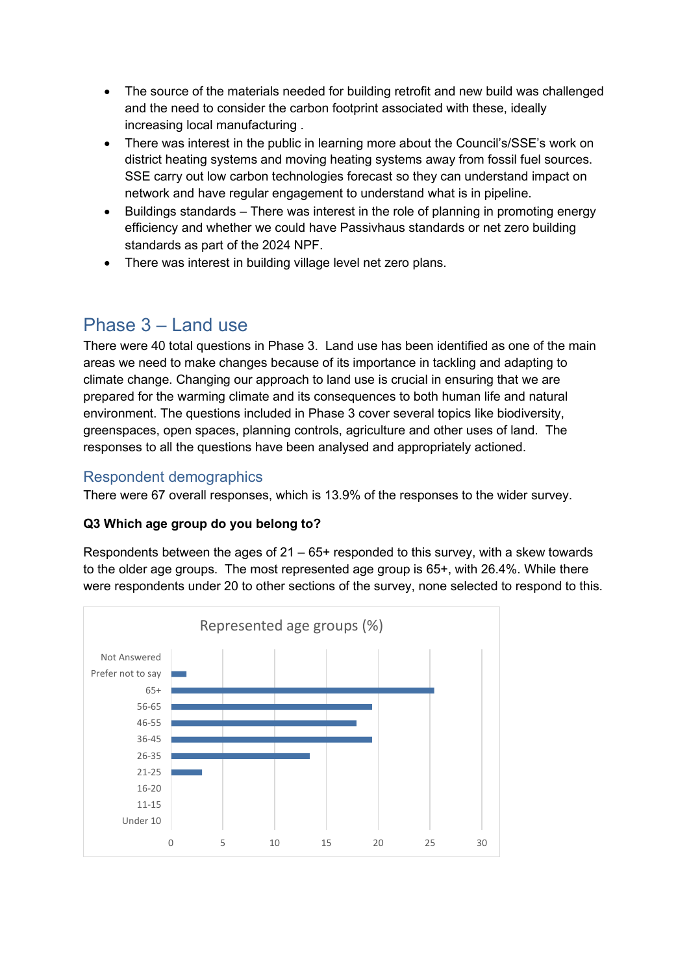- The source of the materials needed for building retrofit and new build was challenged and the need to consider the carbon footprint associated with these, ideally increasing local manufacturing .
- There was interest in the public in learning more about the Council's/SSE's work on district heating systems and moving heating systems away from fossil fuel sources. SSE carry out low carbon technologies forecast so they can understand impact on network and have regular engagement to understand what is in pipeline.
- Buildings standards There was interest in the role of planning in promoting energy efficiency and whether we could have Passivhaus standards or net zero building standards as part of the 2024 NPF.
- There was interest in building village level net zero plans.

# Phase  $3 - 1$  and use

There were 40 total questions in Phase 3. Land use has been identified as one of the main areas we need to make changes because of its importance in tackling and adapting to climate change. Changing our approach to land use is crucial in ensuring that we are prepared for the warming climate and its consequences to both human life and natural environment. The questions included in Phase 3 cover several topics like biodiversity, greenspaces, open spaces, planning controls, agriculture and other uses of land. The responses to all the questions have been analysed and appropriately actioned.

# Respondent demographics

There were 67 overall responses, which is 13.9% of the responses to the wider survey.

## **Q3 Which age group do you belong to?**

Respondents between the ages of  $21 - 65$ + responded to this survey, with a skew towards to the older age groups. The most represented age group is 65+, with 26.4%. While there were respondents under 20 to other sections of the survey, none selected to respond to this.

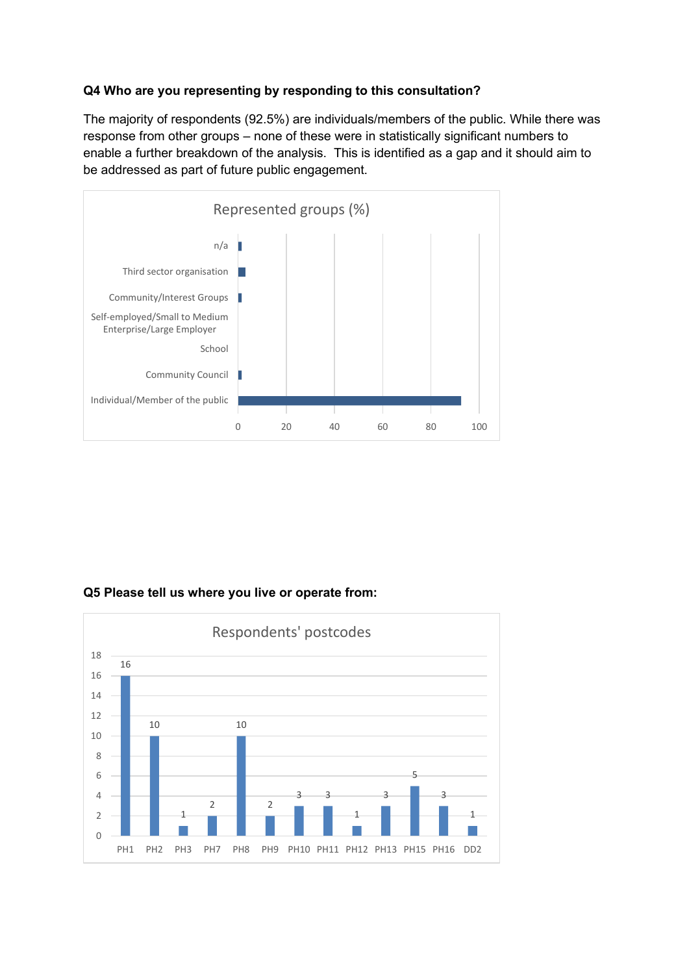#### **Q4 Who are you representing by responding to this consultation?**

The majority of respondents (92.5%) are individuals/members of the public. While there was response from other groups – none of these were in statistically significant numbers to enable a further breakdown of the analysis. This is identified as a gap and it should aim to be addressed as part of future public engagement.



## **Q5 Please tell us where you live or operate from:**

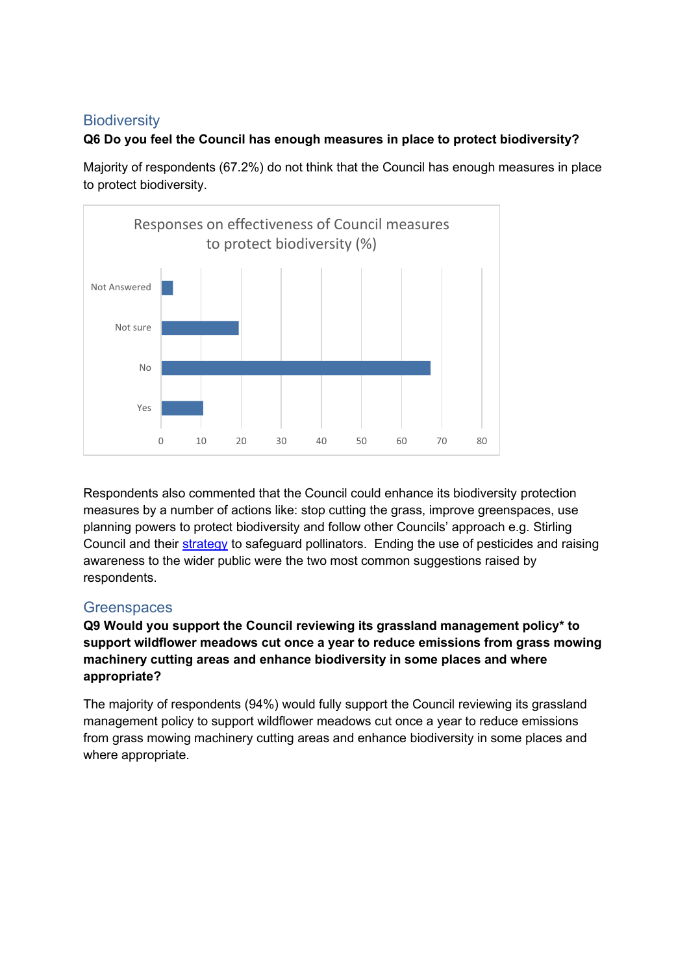## **Biodiversity**

## **Q6 Do you feel the Council has enough measures in place to protect biodiversity?**

Majority of respondents (67.2%) do not think that the Council has enough measures in place to protect biodiversity.



Respondents also commented that the Council could enhance its biodiversity protection measures by a number of actions like: stop cutting the grass, improve greenspaces, use planning powers to protect biodiversity and follow other Councils' approach e.g. Stirling Council and their [strategy](https://www.stirling.gov.uk/news/2020/october-2020/new-pollinator-strategy-to-help-wildlife-and-nature-flourish/#:~:text=Stirling%20Council%20will%20work%20with,plants%20and%20wildlife%20across%20Stirling.&text=The%20strategy%20will%20remodel%20the,of%20bees%20and%20other%20pollinators) to safeguard pollinators. Ending the use of pesticides and raising awareness to the wider public were the two most common suggestions raised by respondents.

## **Greenspaces**

**Q9 Would you support the Council reviewing its grassland management policy\* to support wildflower meadows cut once a year to reduce emissions from grass mowing machinery cutting areas and enhance biodiversity in some places and where appropriate?** 

The majority of respondents (94%) would fully support the Council reviewing its grassland management policy to support wildflower meadows cut once a year to reduce emissions from grass mowing machinery cutting areas and enhance biodiversity in some places and where appropriate.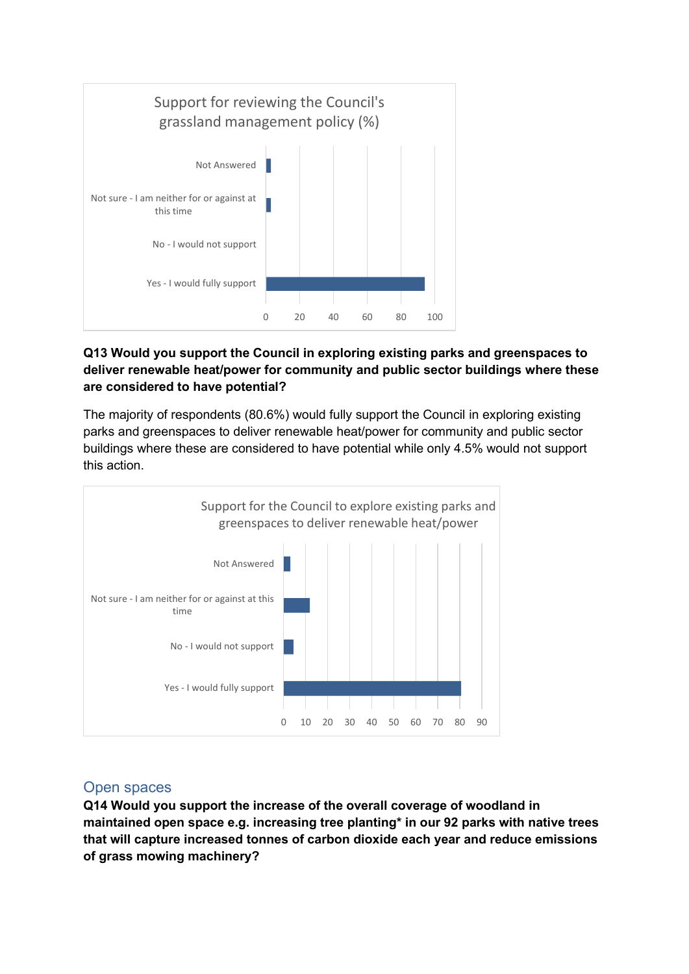

## **Q13 Would you support the Council in exploring existing parks and greenspaces to deliver renewable heat/power for community and public sector buildings where these are considered to have potential?**

The majority of respondents (80.6%) would fully support the Council in exploring existing parks and greenspaces to deliver renewable heat/power for community and public sector buildings where these are considered to have potential while only 4.5% would not support this action.



## Open spaces

**Q14 Would you support the increase of the overall coverage of woodland in maintained open space e.g. increasing tree planting\* in our 92 parks with native trees that will capture increased tonnes of carbon dioxide each year and reduce emissions of grass mowing machinery?**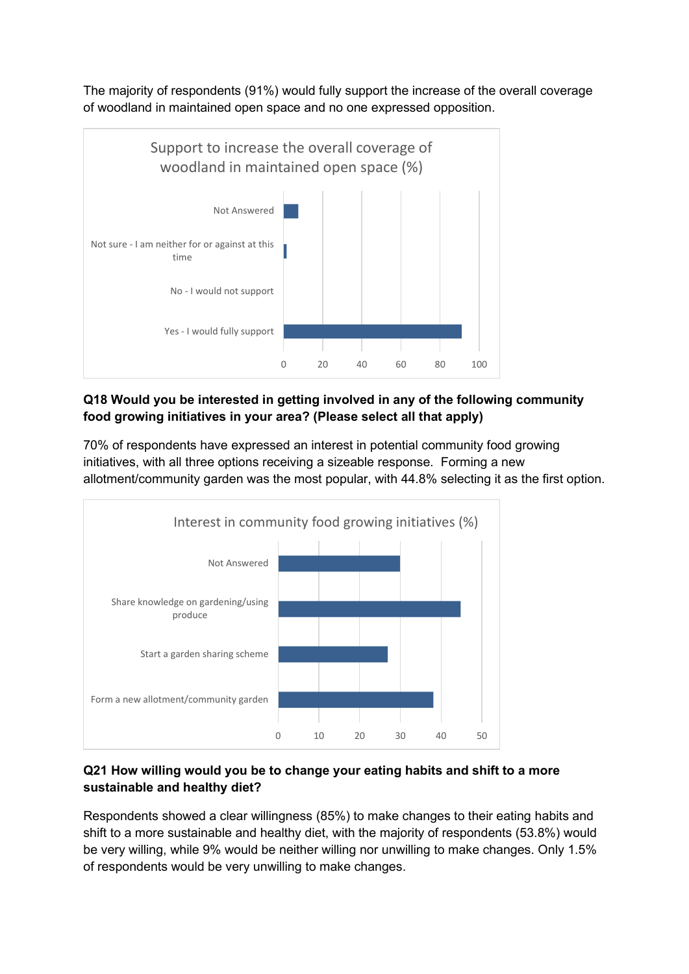The majority of respondents (91%) would fully support the increase of the overall coverage of woodland in maintained open space and no one expressed opposition.



## **Q18 Would you be interested in getting involved in any of the following community food growing initiatives in your area? (Please select all that apply)**

70% of respondents have expressed an interest in potential community food growing initiatives, with all three options receiving a sizeable response. Forming a new allotment/community garden was the most popular, with 44.8% selecting it as the first option.



## **Q21 How willing would you be to change your eating habits and shift to a more sustainable and healthy diet?**

Respondents showed a clear willingness (85%) to make changes to their eating habits and shift to a more sustainable and healthy diet, with the majority of respondents (53.8%) would be very willing, while 9% would be neither willing nor unwilling to make changes. Only 1.5% of respondents would be very unwilling to make changes.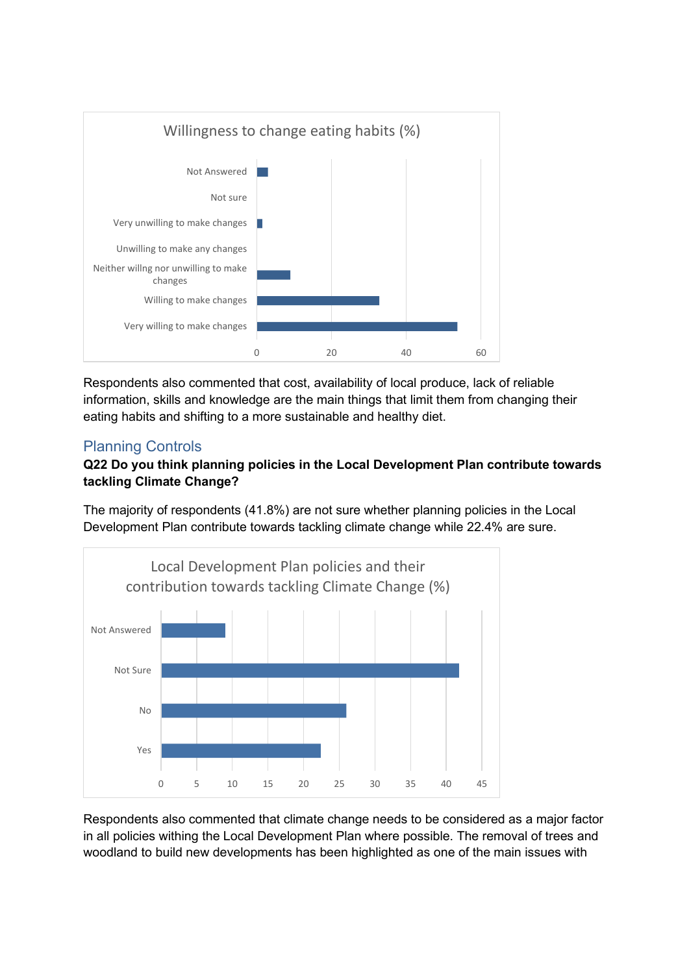

Respondents also commented that cost, availability of local produce, lack of reliable information, skills and knowledge are the main things that limit them from changing their eating habits and shifting to a more sustainable and healthy diet.

# Planning Controls

## **Q22 Do you think planning policies in the Local Development Plan contribute towards tackling Climate Change?**

The majority of respondents (41.8%) are not sure whether planning policies in the Local Development Plan contribute towards tackling climate change while 22.4% are sure.



Respondents also commented that climate change needs to be considered as a major factor in all policies withing the Local Development Plan where possible. The removal of trees and woodland to build new developments has been highlighted as one of the main issues with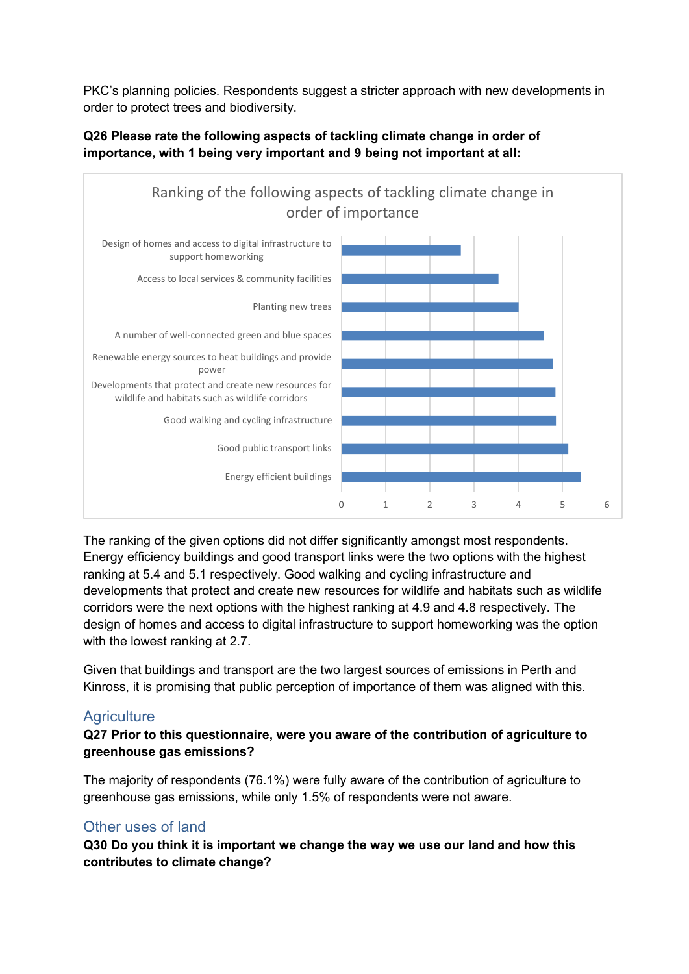PKC's planning policies. Respondents suggest a stricter approach with new developments in order to protect trees and biodiversity.



## **Q26 Please rate the following aspects of tackling climate change in order of importance, with 1 being very important and 9 being not important at all:**

The ranking of the given options did not differ significantly amongst most respondents. Energy efficiency buildings and good transport links were the two options with the highest ranking at 5.4 and 5.1 respectively. Good walking and cycling infrastructure and developments that protect and create new resources for wildlife and habitats such as wildlife corridors were the next options with the highest ranking at 4.9 and 4.8 respectively. The design of homes and access to digital infrastructure to support homeworking was the option with the lowest ranking at 2.7.

Given that buildings and transport are the two largest sources of emissions in Perth and Kinross, it is promising that public perception of importance of them was aligned with this.

## **Agriculture**

## **Q27 Prior to this questionnaire, were you aware of the contribution of agriculture to greenhouse gas emissions?**

The majority of respondents (76.1%) were fully aware of the contribution of agriculture to greenhouse gas emissions, while only 1.5% of respondents were not aware.

## Other uses of land

**Q30 Do you think it is important we change the way we use our land and how this contributes to climate change?**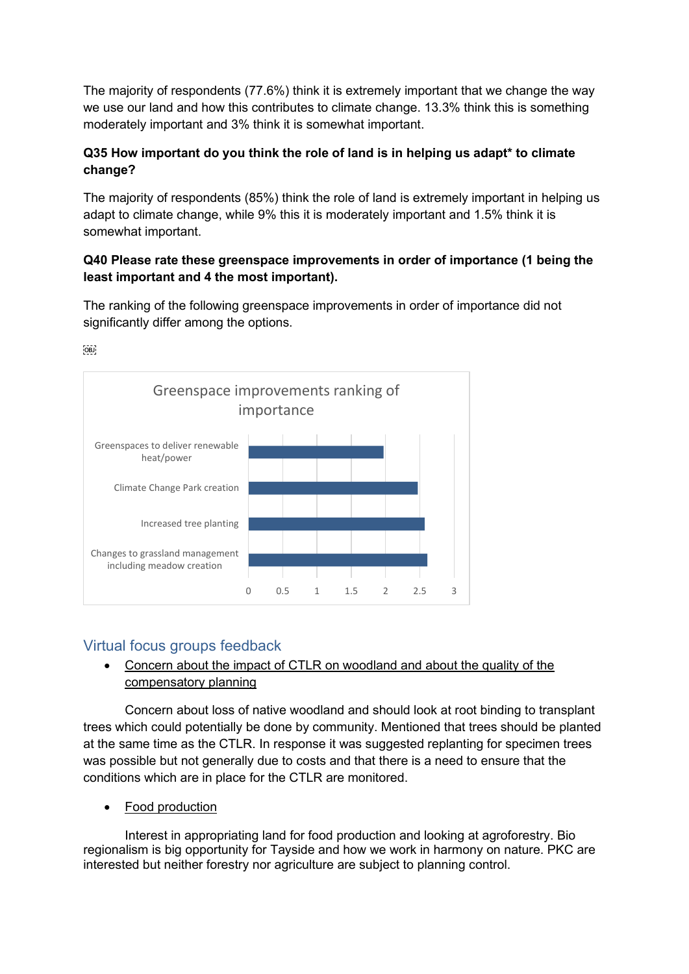The majority of respondents (77.6%) think it is extremely important that we change the way we use our land and how this contributes to climate change. 13.3% think this is something moderately important and 3% think it is somewhat important.

## **Q35 How important do you think the role of land is in helping us adapt\* to climate change?**

The majority of respondents (85%) think the role of land is extremely important in helping us adapt to climate change, while 9% this it is moderately important and 1.5% think it is somewhat important.

## **Q40 Please rate these greenspace improvements in order of importance (1 being the least important and 4 the most important).**

The ranking of the following greenspace improvements in order of importance did not significantly differ among the options.



 $OBD$ 

# Virtual focus groups feedback

## • Concern about the impact of CTLR on woodland and about the quality of the compensatory planning

Concern about loss of native woodland and should look at root binding to transplant trees which could potentially be done by community. Mentioned that trees should be planted at the same time as the CTLR. In response it was suggested replanting for specimen trees was possible but not generally due to costs and that there is a need to ensure that the conditions which are in place for the CTLR are monitored.

Food production

Interest in appropriating land for food production and looking at agroforestry. Bio regionalism is big opportunity for Tayside and how we work in harmony on nature. PKC are interested but neither forestry nor agriculture are subject to planning control.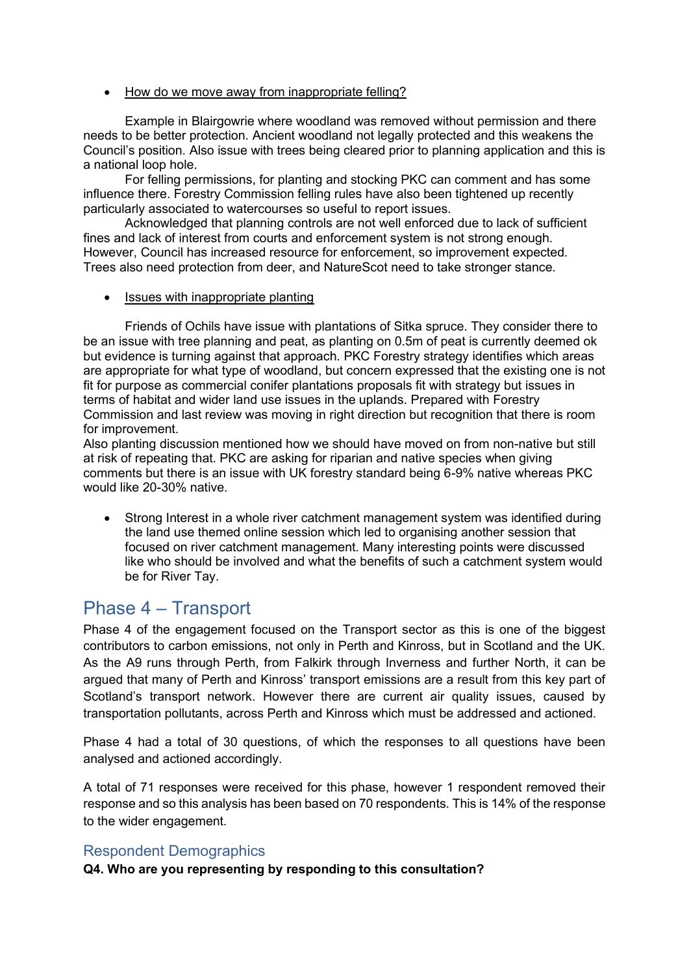#### • How do we move away from inappropriate felling?

Example in Blairgowrie where woodland was removed without permission and there needs to be better protection. Ancient woodland not legally protected and this weakens the Council's position. Also issue with trees being cleared prior to planning application and this is a national loop hole.

For felling permissions, for planting and stocking PKC can comment and has some influence there. Forestry Commission felling rules have also been tightened up recently particularly associated to watercourses so useful to report issues.

Acknowledged that planning controls are not well enforced due to lack of sufficient fines and lack of interest from courts and enforcement system is not strong enough. However, Council has increased resource for enforcement, so improvement expected. Trees also need protection from deer, and NatureScot need to take stronger stance.

• Issues with inappropriate planting

Friends of Ochils have issue with plantations of Sitka spruce. They consider there to be an issue with tree planning and peat, as planting on 0.5m of peat is currently deemed ok but evidence is turning against that approach. PKC Forestry strategy identifies which areas are appropriate for what type of woodland, but concern expressed that the existing one is not fit for purpose as commercial conifer plantations proposals fit with strategy but issues in terms of habitat and wider land use issues in the uplands. Prepared with Forestry Commission and last review was moving in right direction but recognition that there is room for improvement.

Also planting discussion mentioned how we should have moved on from non-native but still at risk of repeating that. PKC are asking for riparian and native species when giving comments but there is an issue with UK forestry standard being 6-9% native whereas PKC would like 20-30% native.

• Strong Interest in a whole river catchment management system was identified during the land use themed online session which led to organising another session that focused on river catchment management. Many interesting points were discussed like who should be involved and what the benefits of such a catchment system would be for River Tay.

# Phase 4 – Transport

Phase 4 of the engagement focused on the Transport sector as this is one of the biggest contributors to carbon emissions, not only in Perth and Kinross, but in Scotland and the UK. As the A9 runs through Perth, from Falkirk through Inverness and further North, it can be argued that many of Perth and Kinross' transport emissions are a result from this key part of Scotland's transport network. However there are current air quality issues, caused by transportation pollutants, across Perth and Kinross which must be addressed and actioned.

Phase 4 had a total of 30 questions, of which the responses to all questions have been analysed and actioned accordingly.

A total of 71 responses were received for this phase, however 1 respondent removed their response and so this analysis has been based on 70 respondents. This is 14% of the response to the wider engagement.

## Respondent Demographics

**Q4. Who are you representing by responding to this consultation?**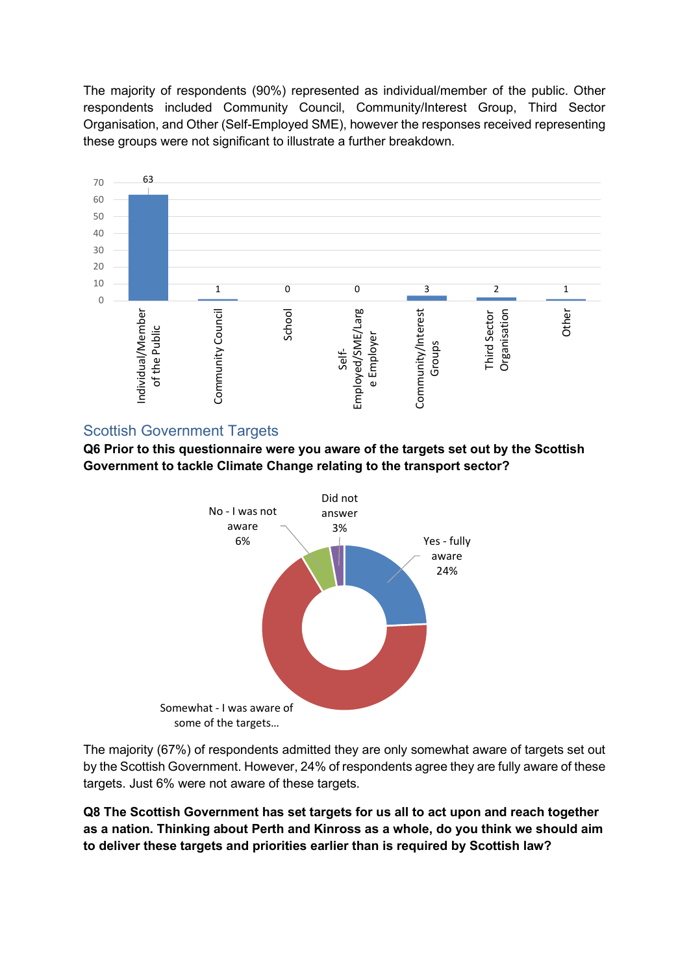The majority of respondents (90%) represented as individual/member of the public. Other respondents included Community Council, Community/Interest Group, Third Sector Organisation, and Other (Self-Employed SME), however the responses received representing these groups were not significant to illustrate a further breakdown.



#### Scottish Government Targets

**Q6 Prior to this questionnaire were you aware of the targets set out by the Scottish Government to tackle Climate Change relating to the transport sector?** 



The majority (67%) of respondents admitted they are only somewhat aware of targets set out by the Scottish Government. However, 24% of respondents agree they are fully aware of these targets. Just 6% were not aware of these targets.

**Q8 The Scottish Government has set targets for us all to act upon and reach together as a nation. Thinking about Perth and Kinross as a whole, do you think we should aim to deliver these targets and priorities earlier than is required by Scottish law?**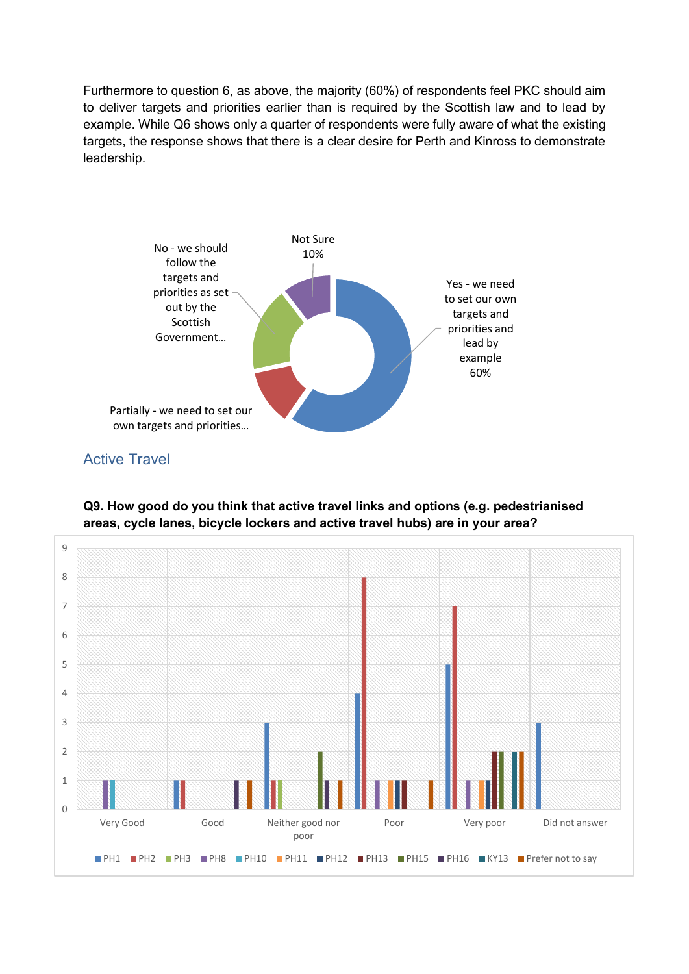Furthermore to question 6, as above, the majority (60%) of respondents feel PKC should aim to deliver targets and priorities earlier than is required by the Scottish law and to lead by example. While Q6 shows only a quarter of respondents were fully aware of what the existing targets, the response shows that there is a clear desire for Perth and Kinross to demonstrate leadership.



Active Travel

**Q9. How good do you think that active travel links and options (e.g. pedestrianised areas, cycle lanes, bicycle lockers and active travel hubs) are in your area?** 

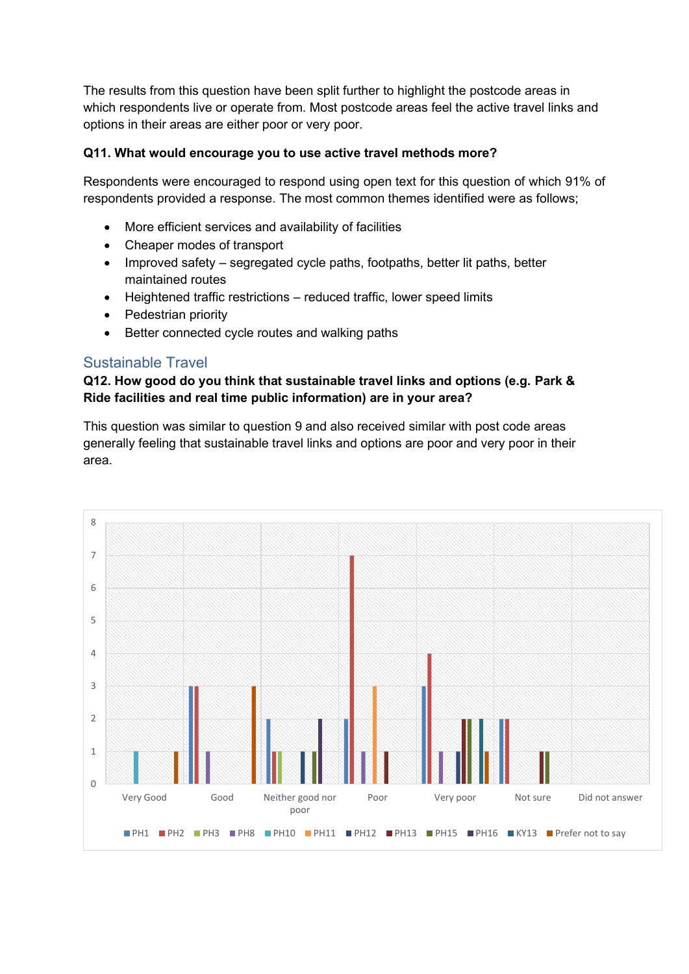The results from this question have been split further to highlight the postcode areas in which respondents live or operate from. Most postcode areas feel the active travel links and options in their areas are either poor or very poor.

#### **Q11. What would encourage you to use active travel methods more?**

Respondents were encouraged to respond using open text for this question of which 91% of respondents provided a response. The most common themes identified were as follows;

- More efficient services and availability of facilities
- Cheaper modes of transport
- Improved safety segregated cycle paths, footpaths, better lit paths, better maintained routes
- Heightened traffic restrictions reduced traffic, lower speed limits
- Pedestrian priority
- Better connected cycle routes and walking paths

## Sustainable Travel

## **Q12. How good do you think that sustainable travel links and options (e.g. Park & Ride facilities and real time public information) are in your area?**

This question was similar to question 9 and also received similar with post code areas generally feeling that sustainable travel links and options are poor and very poor in their area.

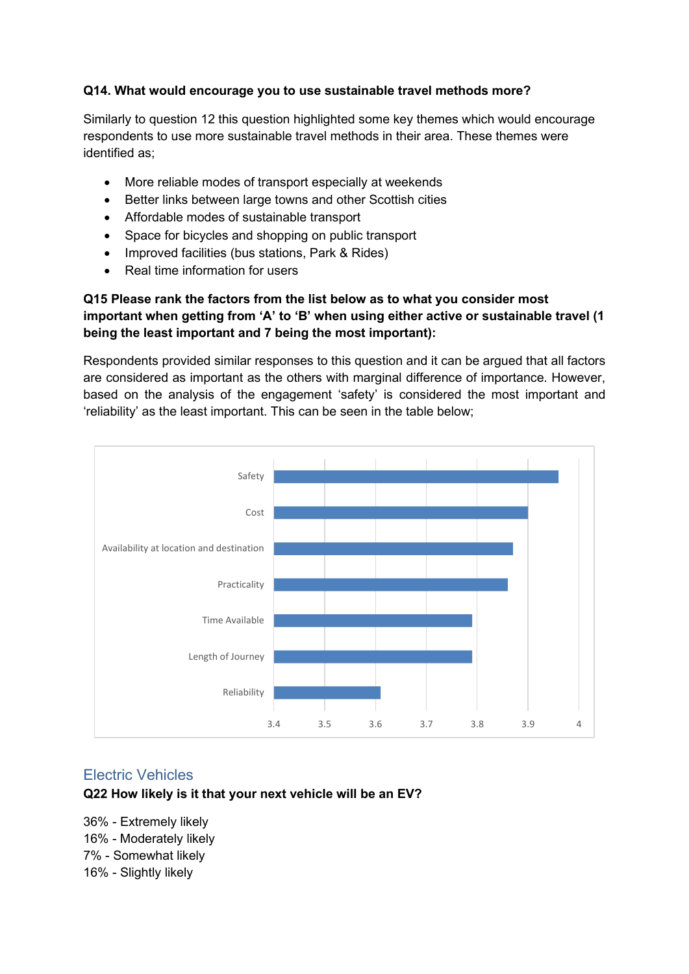#### **Q14. What would encourage you to use sustainable travel methods more?**

Similarly to question 12 this question highlighted some key themes which would encourage respondents to use more sustainable travel methods in their area. These themes were identified as;

- More reliable modes of transport especially at weekends
- Better links between large towns and other Scottish cities
- Affordable modes of sustainable transport
- Space for bicycles and shopping on public transport
- Improved facilities (bus stations, Park & Rides)
- Real time information for users

## **Q15 Please rank the factors from the list below as to what you consider most important when getting from 'A' to 'B' when using either active or sustainable travel (1 being the least important and 7 being the most important):**

Respondents provided similar responses to this question and it can be argued that all factors are considered as important as the others with marginal difference of importance. However, based on the analysis of the engagement 'safety' is considered the most important and 'reliability' as the least important. This can be seen in the table below;



## Electric Vehicles

#### **Q22 How likely is it that your next vehicle will be an EV?**

36% - Extremely likely 16% - Moderately likely 7% - Somewhat likely 16% - Slightly likely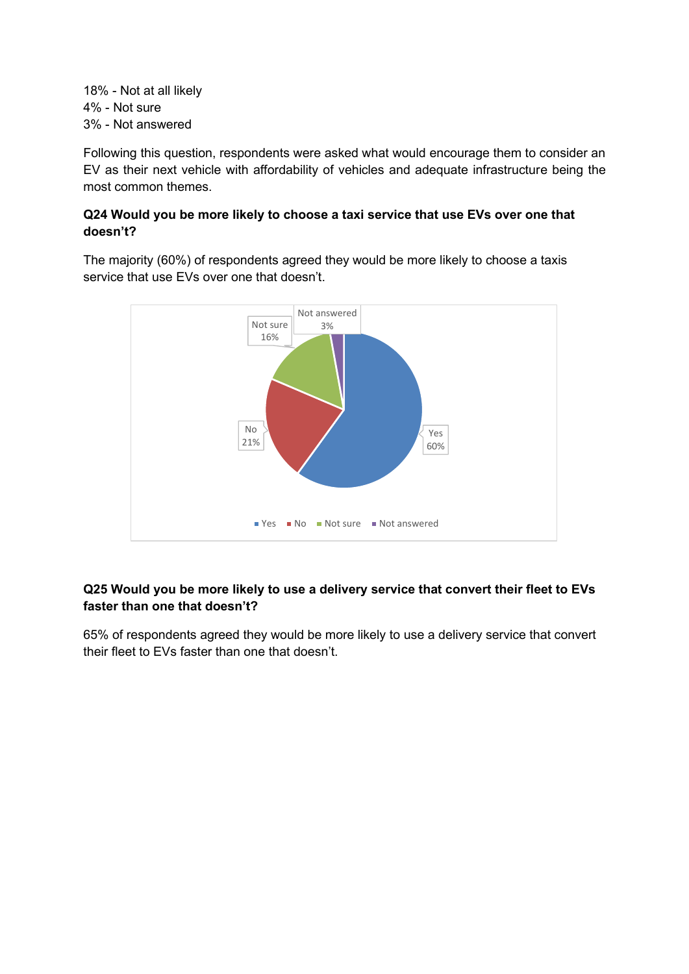18% - Not at all likely 4% - Not sure 3% - Not answered

Following this question, respondents were asked what would encourage them to consider an EV as their next vehicle with affordability of vehicles and adequate infrastructure being the most common themes.

## **Q24 Would you be more likely to choose a taxi service that use EVs over one that doesn't?**

The majority (60%) of respondents agreed they would be more likely to choose a taxis service that use EVs over one that doesn't.



## **Q25 Would you be more likely to use a delivery service that convert their fleet to EVs faster than one that doesn't?**

65% of respondents agreed they would be more likely to use a delivery service that convert their fleet to EVs faster than one that doesn't.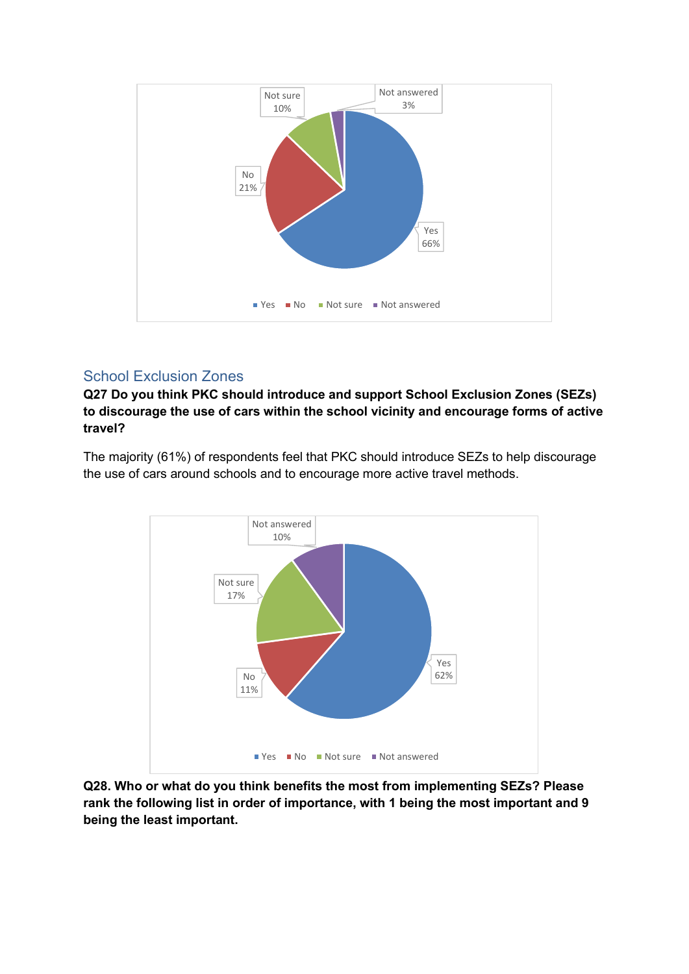

# School Exclusion Zones

**Q27 Do you think PKC should introduce and support School Exclusion Zones (SEZs) to discourage the use of cars within the school vicinity and encourage forms of active travel?**

The majority (61%) of respondents feel that PKC should introduce SEZs to help discourage the use of cars around schools and to encourage more active travel methods.



**Q28. Who or what do you think benefits the most from implementing SEZs? Please rank the following list in order of importance, with 1 being the most important and 9 being the least important.**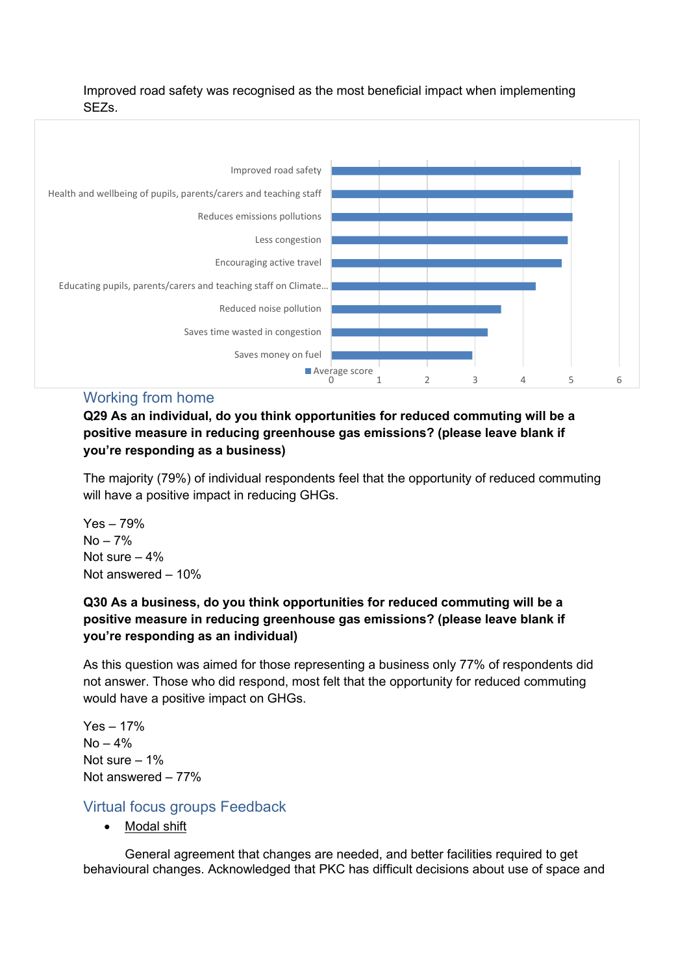Improved road safety was recognised as the most beneficial impact when implementing SEZs.



#### Working from home

**Q29 As an individual, do you think opportunities for reduced commuting will be a positive measure in reducing greenhouse gas emissions? (please leave blank if you're responding as a business)**

The majority (79%) of individual respondents feel that the opportunity of reduced commuting will have a positive impact in reducing GHGs.

Yes – 79%  $No - 7%$ Not sure  $-4%$ Not answered – 10%

## **Q30 As a business, do you think opportunities for reduced commuting will be a positive measure in reducing greenhouse gas emissions? (please leave blank if you're responding as an individual)**

As this question was aimed for those representing a business only 77% of respondents did not answer. Those who did respond, most felt that the opportunity for reduced commuting would have a positive impact on GHGs.

Yes – 17%  $No - 4%$ Not sure – 1% Not answered – 77%

## Virtual focus groups Feedback

• Modal shift

General agreement that changes are needed, and better facilities required to get behavioural changes. Acknowledged that PKC has difficult decisions about use of space and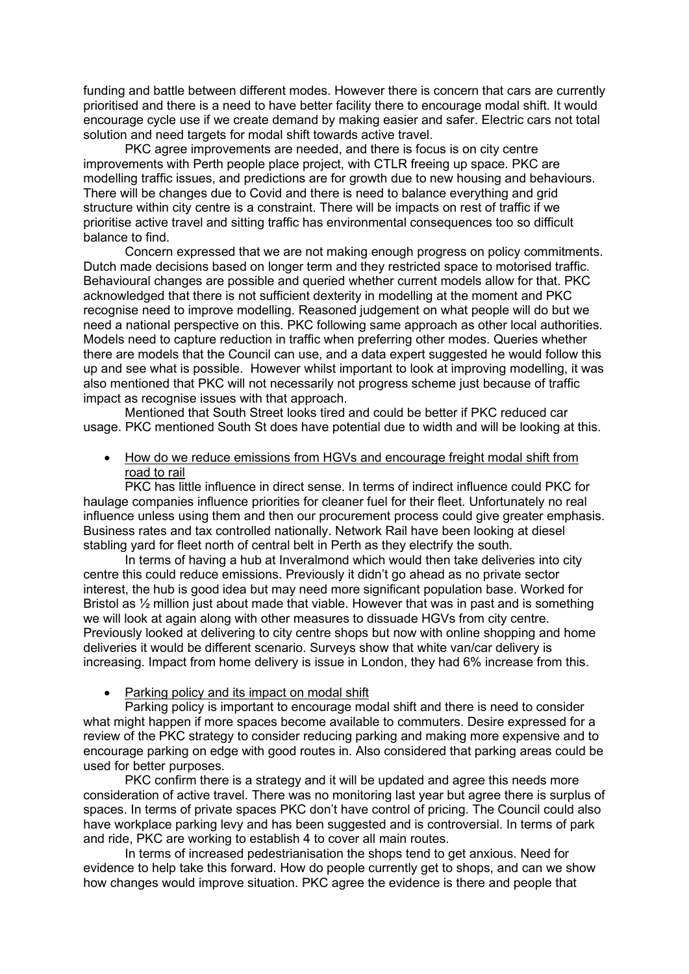funding and battle between different modes. However there is concern that cars are currently prioritised and there is a need to have better facility there to encourage modal shift. It would encourage cycle use if we create demand by making easier and safer. Electric cars not total solution and need targets for modal shift towards active travel.

PKC agree improvements are needed, and there is focus is on city centre improvements with Perth people place project, with CTLR freeing up space. PKC are modelling traffic issues, and predictions are for growth due to new housing and behaviours. There will be changes due to Covid and there is need to balance everything and grid structure within city centre is a constraint. There will be impacts on rest of traffic if we prioritise active travel and sitting traffic has environmental consequences too so difficult balance to find.

Concern expressed that we are not making enough progress on policy commitments. Dutch made decisions based on longer term and they restricted space to motorised traffic. Behavioural changes are possible and queried whether current models allow for that. PKC acknowledged that there is not sufficient dexterity in modelling at the moment and PKC recognise need to improve modelling. Reasoned judgement on what people will do but we need a national perspective on this. PKC following same approach as other local authorities. Models need to capture reduction in traffic when preferring other modes. Queries whether there are models that the Council can use, and a data expert suggested he would follow this up and see what is possible. However whilst important to look at improving modelling, it was also mentioned that PKC will not necessarily not progress scheme just because of traffic impact as recognise issues with that approach.

Mentioned that South Street looks tired and could be better if PKC reduced car usage. PKC mentioned South St does have potential due to width and will be looking at this.

• How do we reduce emissions from HGVs and encourage freight modal shift from road to rail

PKC has little influence in direct sense. In terms of indirect influence could PKC for haulage companies influence priorities for cleaner fuel for their fleet. Unfortunately no real influence unless using them and then our procurement process could give greater emphasis. Business rates and tax controlled nationally. Network Rail have been looking at diesel stabling yard for fleet north of central belt in Perth as they electrify the south.

In terms of having a hub at Inveralmond which would then take deliveries into city centre this could reduce emissions. Previously it didn't go ahead as no private sector interest, the hub is good idea but may need more significant population base. Worked for Bristol as  $\frac{1}{2}$  million just about made that viable. However that was in past and is something we will look at again along with other measures to dissuade HGVs from city centre. Previously looked at delivering to city centre shops but now with online shopping and home deliveries it would be different scenario. Surveys show that white van/car delivery is increasing. Impact from home delivery is issue in London, they had 6% increase from this.

#### • Parking policy and its impact on modal shift

Parking policy is important to encourage modal shift and there is need to consider what might happen if more spaces become available to commuters. Desire expressed for a review of the PKC strategy to consider reducing parking and making more expensive and to encourage parking on edge with good routes in. Also considered that parking areas could be used for better purposes.

PKC confirm there is a strategy and it will be updated and agree this needs more consideration of active travel. There was no monitoring last year but agree there is surplus of spaces. In terms of private spaces PKC don't have control of pricing. The Council could also have workplace parking levy and has been suggested and is controversial. In terms of park and ride, PKC are working to establish 4 to cover all main routes.

In terms of increased pedestrianisation the shops tend to get anxious. Need for evidence to help take this forward. How do people currently get to shops, and can we show how changes would improve situation. PKC agree the evidence is there and people that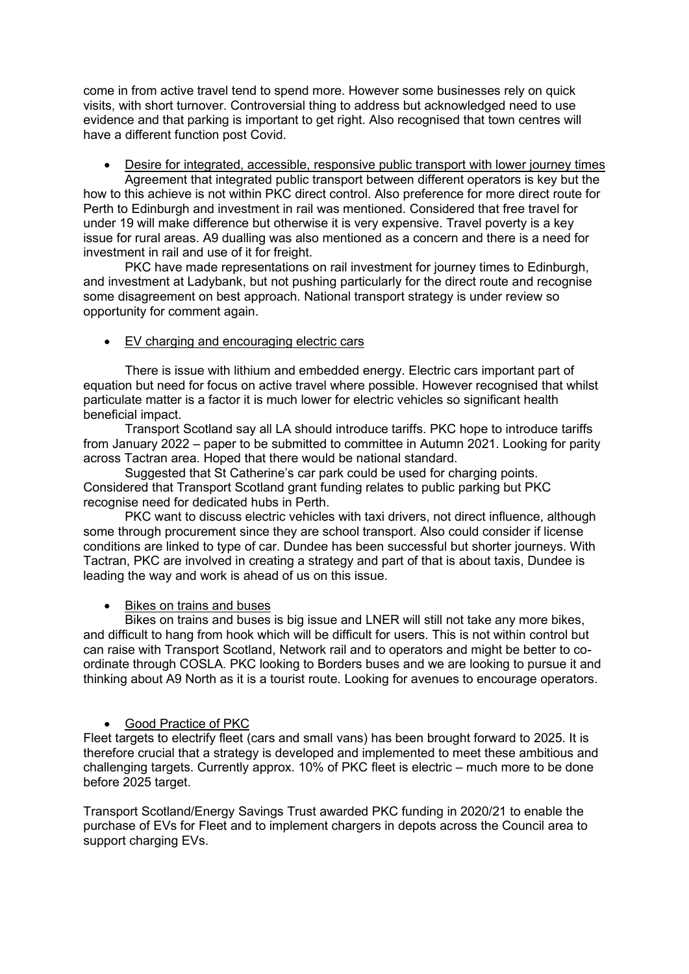come in from active travel tend to spend more. However some businesses rely on quick visits, with short turnover. Controversial thing to address but acknowledged need to use evidence and that parking is important to get right. Also recognised that town centres will have a different function post Covid.

• Desire for integrated, accessible, responsive public transport with lower journey times Agreement that integrated public transport between different operators is key but the

how to this achieve is not within PKC direct control. Also preference for more direct route for Perth to Edinburgh and investment in rail was mentioned. Considered that free travel for under 19 will make difference but otherwise it is very expensive. Travel poverty is a key issue for rural areas. A9 dualling was also mentioned as a concern and there is a need for investment in rail and use of it for freight.

PKC have made representations on rail investment for journey times to Edinburgh, and investment at Ladybank, but not pushing particularly for the direct route and recognise some disagreement on best approach. National transport strategy is under review so opportunity for comment again.

#### • EV charging and encouraging electric cars

There is issue with lithium and embedded energy. Electric cars important part of equation but need for focus on active travel where possible. However recognised that whilst particulate matter is a factor it is much lower for electric vehicles so significant health beneficial impact.

Transport Scotland say all LA should introduce tariffs. PKC hope to introduce tariffs from January 2022 – paper to be submitted to committee in Autumn 2021. Looking for parity across Tactran area. Hoped that there would be national standard.

Suggested that St Catherine's car park could be used for charging points. Considered that Transport Scotland grant funding relates to public parking but PKC recognise need for dedicated hubs in Perth.

PKC want to discuss electric vehicles with taxi drivers, not direct influence, although some through procurement since they are school transport. Also could consider if license conditions are linked to type of car. Dundee has been successful but shorter journeys. With Tactran, PKC are involved in creating a strategy and part of that is about taxis, Dundee is leading the way and work is ahead of us on this issue.

#### • Bikes on trains and buses

Bikes on trains and buses is big issue and LNER will still not take any more bikes, and difficult to hang from hook which will be difficult for users. This is not within control but can raise with Transport Scotland, Network rail and to operators and might be better to coordinate through COSLA. PKC looking to Borders buses and we are looking to pursue it and thinking about A9 North as it is a tourist route. Looking for avenues to encourage operators.

#### • Good Practice of PKC

Fleet targets to electrify fleet (cars and small vans) has been brought forward to 2025. It is therefore crucial that a strategy is developed and implemented to meet these ambitious and challenging targets. Currently approx. 10% of PKC fleet is electric – much more to be done before 2025 target.

Transport Scotland/Energy Savings Trust awarded PKC funding in 2020/21 to enable the purchase of EVs for Fleet and to implement chargers in depots across the Council area to support charging EVs.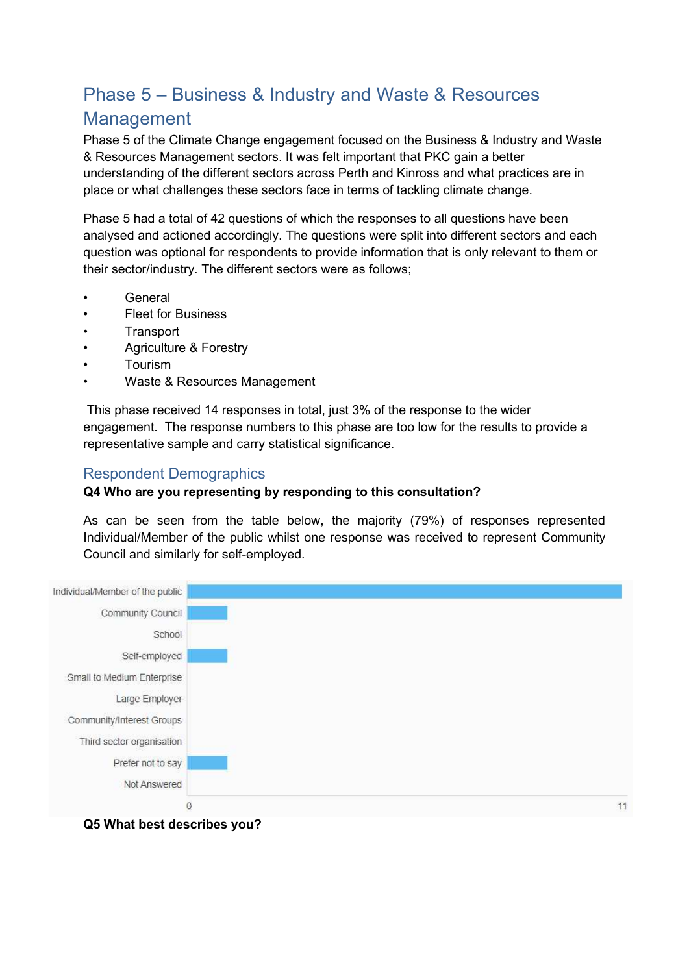# Phase 5 – Business & Industry and Waste & Resources Management

Phase 5 of the Climate Change engagement focused on the Business & Industry and Waste & Resources Management sectors. It was felt important that PKC gain a better understanding of the different sectors across Perth and Kinross and what practices are in place or what challenges these sectors face in terms of tackling climate change.

Phase 5 had a total of 42 questions of which the responses to all questions have been analysed and actioned accordingly. The questions were split into different sectors and each question was optional for respondents to provide information that is only relevant to them or their sector/industry. The different sectors were as follows;

- **General**
- Fleet for Business
- **Transport**
- Agriculture & Forestry
- Tourism
- Waste & Resources Management

 This phase received 14 responses in total, just 3% of the response to the wider engagement. The response numbers to this phase are too low for the results to provide a representative sample and carry statistical significance.

## Respondent Demographics

## **Q4 Who are you representing by responding to this consultation?**

As can be seen from the table below, the majority (79%) of responses represented Individual/Member of the public whilst one response was received to represent Community Council and similarly for self-employed.

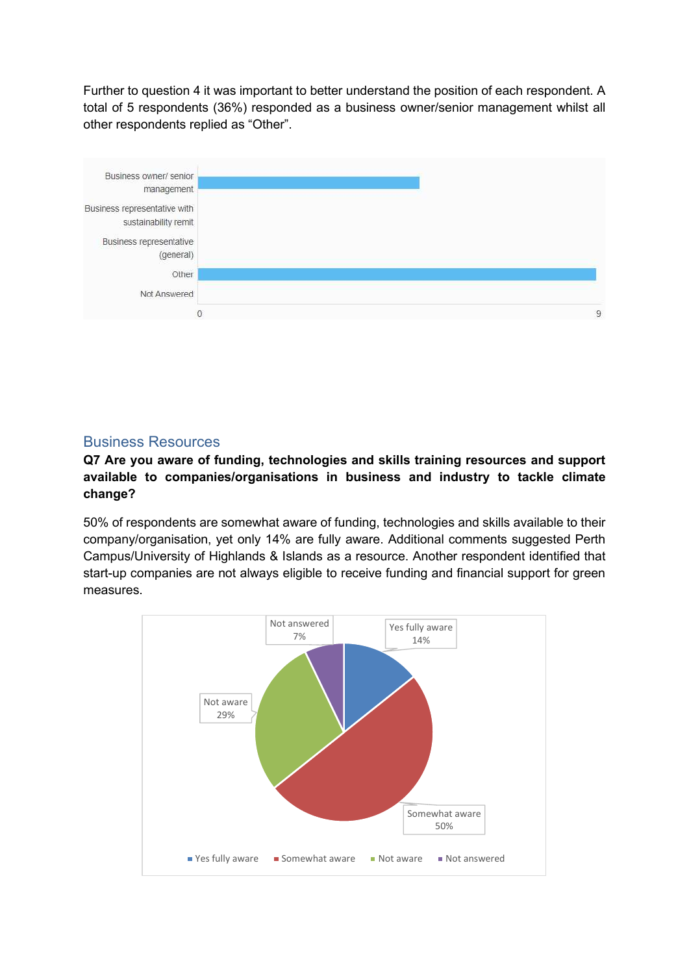Further to question 4 it was important to better understand the position of each respondent. A total of 5 respondents (36%) responded as a business owner/senior management whilst all other respondents replied as "Other".



## Business Resources

## **Q7 Are you aware of funding, technologies and skills training resources and support available to companies/organisations in business and industry to tackle climate change?**

50% of respondents are somewhat aware of funding, technologies and skills available to their company/organisation, yet only 14% are fully aware. Additional comments suggested Perth Campus/University of Highlands & Islands as a resource. Another respondent identified that start-up companies are not always eligible to receive funding and financial support for green measures.

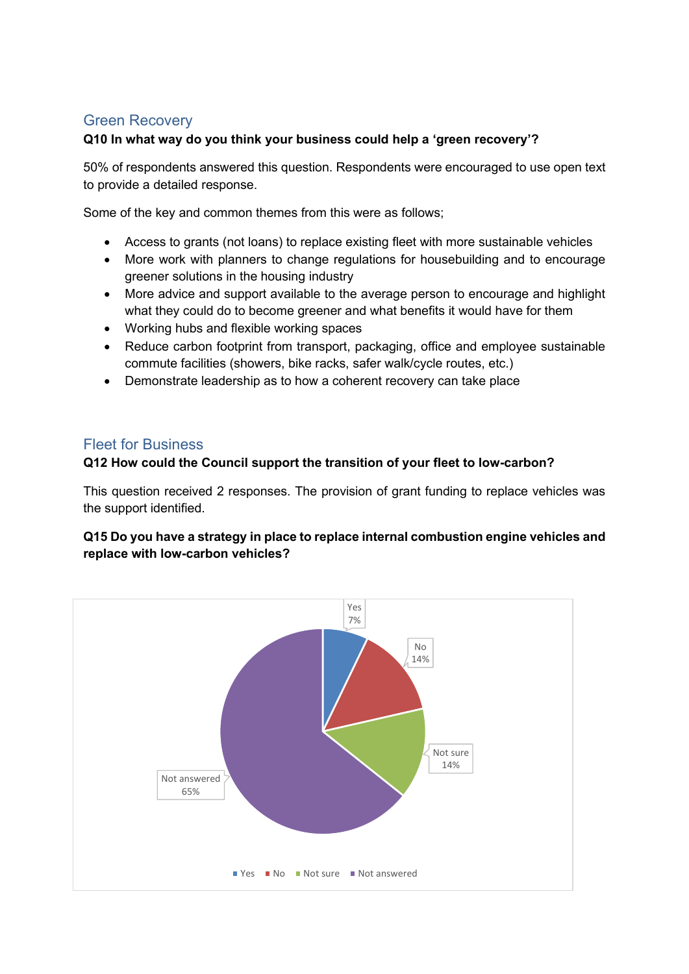# Green Recovery

## **Q10 In what way do you think your business could help a 'green recovery'?**

50% of respondents answered this question. Respondents were encouraged to use open text to provide a detailed response.

Some of the key and common themes from this were as follows;

- Access to grants (not loans) to replace existing fleet with more sustainable vehicles
- More work with planners to change regulations for housebuilding and to encourage greener solutions in the housing industry
- More advice and support available to the average person to encourage and highlight what they could do to become greener and what benefits it would have for them
- Working hubs and flexible working spaces
- Reduce carbon footprint from transport, packaging, office and employee sustainable commute facilities (showers, bike racks, safer walk/cycle routes, etc.)
- Demonstrate leadership as to how a coherent recovery can take place

## Fleet for Business

#### **Q12 How could the Council support the transition of your fleet to low-carbon?**

This question received 2 responses. The provision of grant funding to replace vehicles was the support identified.

## **Q15 Do you have a strategy in place to replace internal combustion engine vehicles and replace with low-carbon vehicles?**

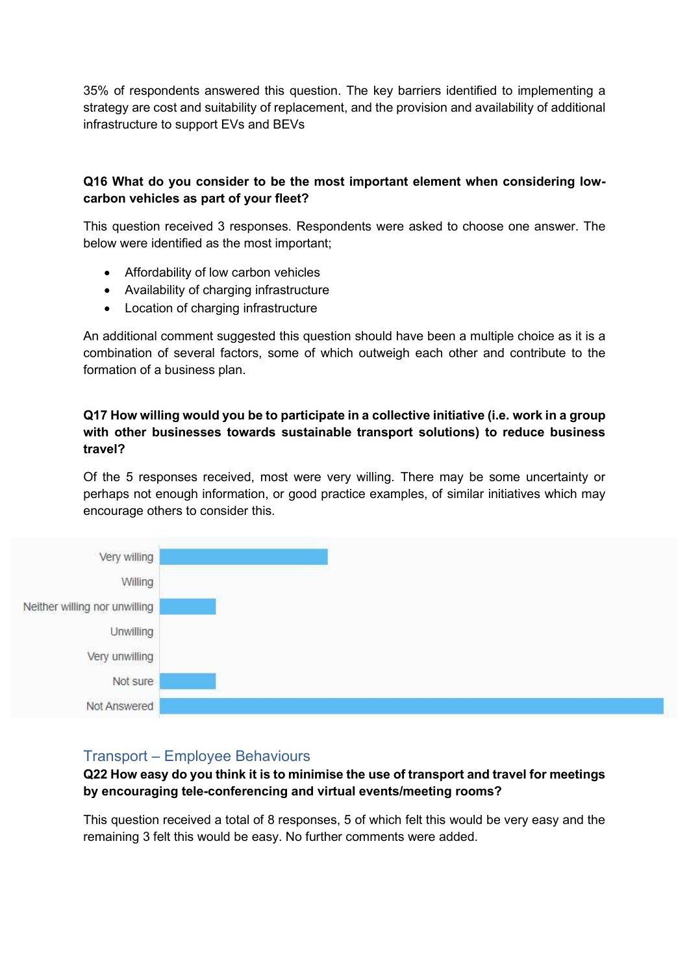35% of respondents answered this question. The key barriers identified to implementing a strategy are cost and suitability of replacement, and the provision and availability of additional infrastructure to support EVs and BEVs

## **Q16 What do you consider to be the most important element when considering lowcarbon vehicles as part of your fleet?**

This question received 3 responses. Respondents were asked to choose one answer. The below were identified as the most important;

- Affordability of low carbon vehicles
- Availability of charging infrastructure
- Location of charging infrastructure

An additional comment suggested this question should have been a multiple choice as it is a combination of several factors, some of which outweigh each other and contribute to the formation of a business plan.

### **Q17 How willing would you be to participate in a collective initiative (i.e. work in a group with other businesses towards sustainable transport solutions) to reduce business travel?**

Of the 5 responses received, most were very willing. There may be some uncertainty or perhaps not enough information, or good practice examples, of similar initiatives which may encourage others to consider this.



## Transport – Employee Behaviours

**Q22 How easy do you think it is to minimise the use of transport and travel for meetings by encouraging tele-conferencing and virtual events/meeting rooms?** 

This question received a total of 8 responses, 5 of which felt this would be very easy and the remaining 3 felt this would be easy. No further comments were added.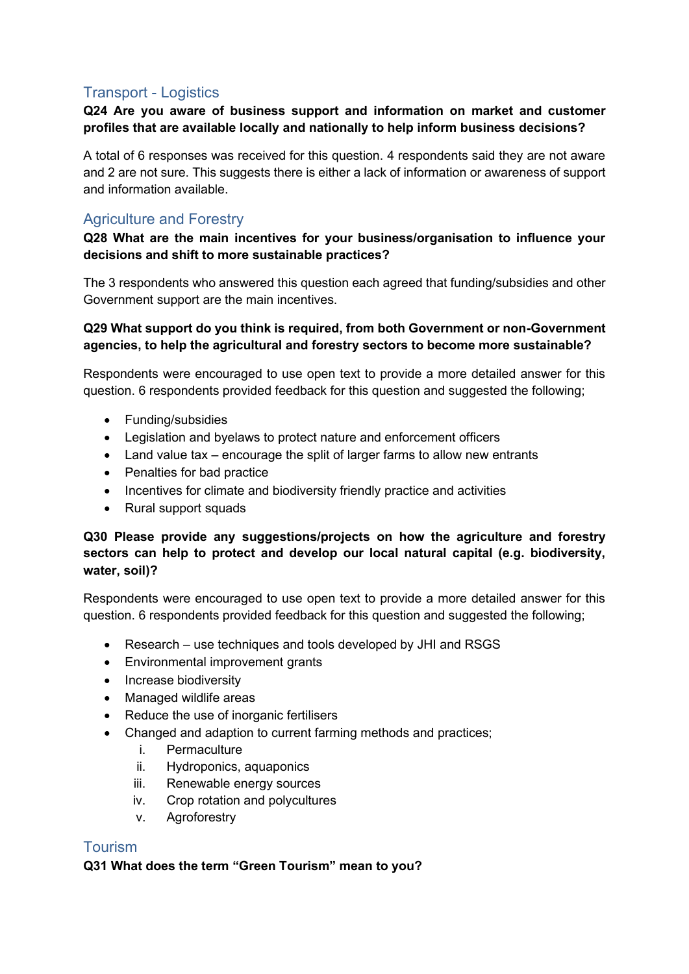## Transport - Logistics

### **Q24 Are you aware of business support and information on market and customer profiles that are available locally and nationally to help inform business decisions?**

A total of 6 responses was received for this question. 4 respondents said they are not aware and 2 are not sure. This suggests there is either a lack of information or awareness of support and information available.

## Agriculture and Forestry

## **Q28 What are the main incentives for your business/organisation to influence your decisions and shift to more sustainable practices?**

The 3 respondents who answered this question each agreed that funding/subsidies and other Government support are the main incentives.

#### **Q29 What support do you think is required, from both Government or non-Government agencies, to help the agricultural and forestry sectors to become more sustainable?**

Respondents were encouraged to use open text to provide a more detailed answer for this question. 6 respondents provided feedback for this question and suggested the following;

- Funding/subsidies
- Legislation and byelaws to protect nature and enforcement officers
- Land value tax encourage the split of larger farms to allow new entrants
- Penalties for bad practice
- Incentives for climate and biodiversity friendly practice and activities
- Rural support squads

## **Q30 Please provide any suggestions/projects on how the agriculture and forestry sectors can help to protect and develop our local natural capital (e.g. biodiversity, water, soil)?**

Respondents were encouraged to use open text to provide a more detailed answer for this question. 6 respondents provided feedback for this question and suggested the following;

- Research use techniques and tools developed by JHI and RSGS
- Environmental improvement grants
- Increase biodiversity
- Managed wildlife areas
- Reduce the use of inorganic fertilisers
- Changed and adaption to current farming methods and practices;
	- i. Permaculture
	- ii. Hydroponics, aquaponics
	- iii. Renewable energy sources
	- iv. Crop rotation and polycultures
	- v. Agroforestry

## Tourism

## **Q31 What does the term "Green Tourism" mean to you?**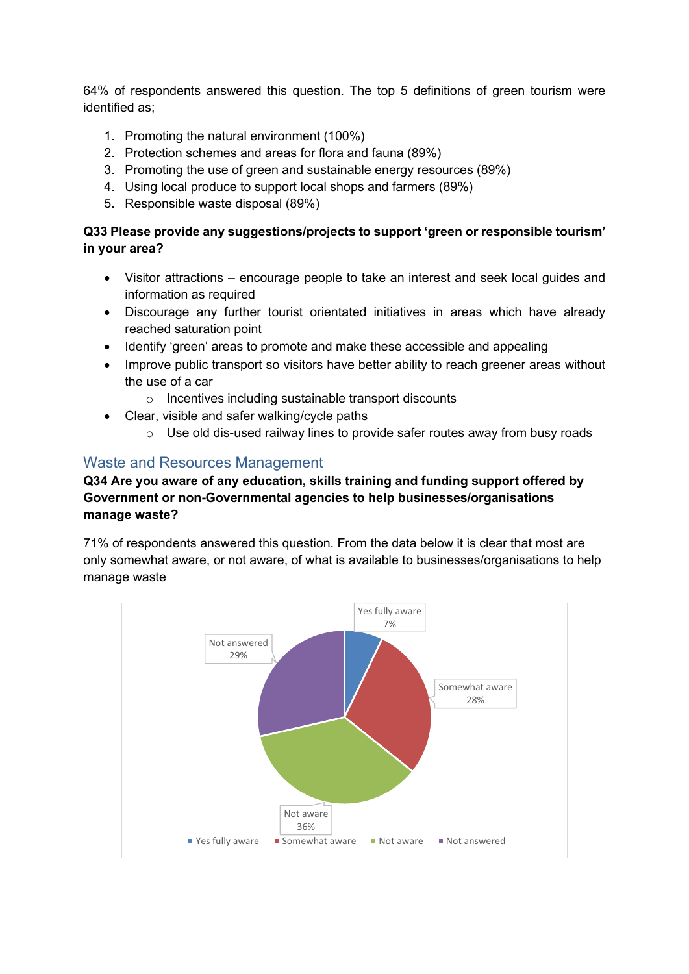64% of respondents answered this question. The top 5 definitions of green tourism were identified as;

- 1. Promoting the natural environment (100%)
- 2. Protection schemes and areas for flora and fauna (89%)
- 3. Promoting the use of green and sustainable energy resources (89%)
- 4. Using local produce to support local shops and farmers (89%)
- 5. Responsible waste disposal (89%)

## **Q33 Please provide any suggestions/projects to support 'green or responsible tourism' in your area?**

- Visitor attractions encourage people to take an interest and seek local guides and information as required
- Discourage any further tourist orientated initiatives in areas which have already reached saturation point
- Identify 'green' areas to promote and make these accessible and appealing
- Improve public transport so visitors have better ability to reach greener areas without the use of a car
	- o Incentives including sustainable transport discounts
- Clear, visible and safer walking/cycle paths
	- o Use old dis-used railway lines to provide safer routes away from busy roads

## Waste and Resources Management

## **Q34 Are you aware of any education, skills training and funding support offered by Government or non-Governmental agencies to help businesses/organisations manage waste?**

71% of respondents answered this question. From the data below it is clear that most are only somewhat aware, or not aware, of what is available to businesses/organisations to help manage waste